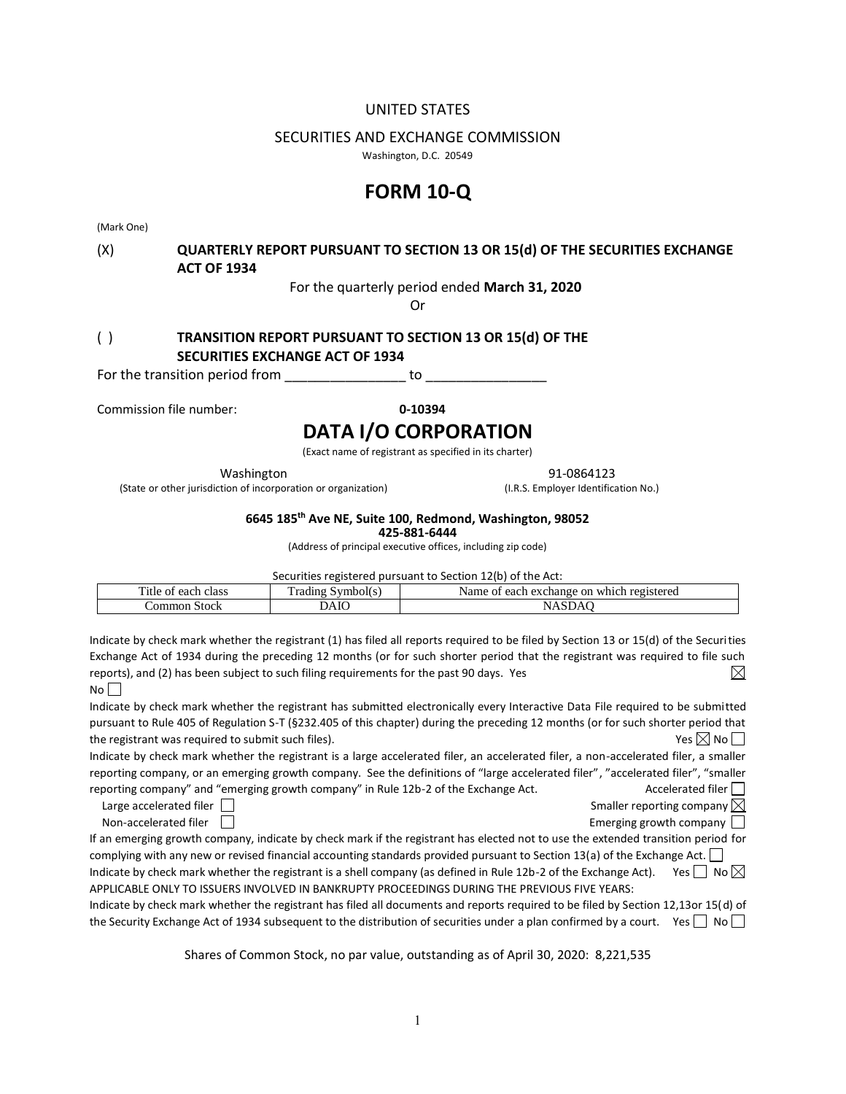#### UNITED STATES

## SECURITIES AND EXCHANGE COMMISSION

Washington, D.C. 20549

## **FORM 10-Q**

(Mark One)

## (X) **QUARTERLY REPORT PURSUANT TO SECTION 13 OR 15(d) OF THE SECURITIES EXCHANGE ACT OF 1934**

For the quarterly period ended **March 31, 2020**

Or

## ( ) **TRANSITION REPORT PURSUANT TO SECTION 13 OR 15(d) OF THE SECURITIES EXCHANGE ACT OF 1934**

For the transition period from the state of the transition of the state of the state of the state of the state

Commission file number: **0-10394**

## **DATA I/O CORPORATION**

(Exact name of registrant as specified in its charter)

(State or other jurisdiction of incorporation or organization) (I.R.S. Employer Identification No.)

Washington 91-0864123

## **6645 185th Ave NE, Suite 100, Redmond, Washington, 98052**

**425-881-6444**

(Address of principal executive offices, including zip code)

Securities registered pursuant to Section 12(b) of the Act:

| —<br>. itle<br>each<br>class<br>OГ | -<br><b>TIME</b><br>rad.<br>dıng<br>.nholl<br>$\sim V$ | Name<br>registered<br>$_{\rm on}$<br>$\alpha v$<br>anch<br>.char<br>$\alpha$ 10 $\alpha$<br>Ωt<br>Ĥ<br>noe<br>24 O |
|------------------------------------|--------------------------------------------------------|--------------------------------------------------------------------------------------------------------------------|
| Stock<br>ommon                     | АIС                                                    | N                                                                                                                  |

Indicate by check mark whether the registrant (1) has filed all reports required to be filed by Section 13 or 15(d) of the Securities Exchange Act of 1934 during the preceding 12 months (or for such shorter period that the registrant was required to file such reports), and (2) has been subject to such filing requirements for the past 90 days. Yes  $\boxtimes$  $No$ 

Indicate by check mark whether the registrant has submitted electronically every Interactive Data File required to be submitted pursuant to Rule 405 of Regulation S-T (§232.405 of this chapter) during the preceding 12 months (or for such shorter period that the registrant was required to submit such files).  $\blacksquare$ 

Indicate by check mark whether the registrant is a large accelerated filer, an accelerated filer, a non-accelerated filer, a smaller reporting company, or an emerging growth company. See the definitions of "large accelerated filer", "accelerated filer", "smaller reporting company" and "emerging growth company" in Rule 12b-2 of the Exchange Act.  $\Box$  Accelerated filer  $\Box$ 

| Large accelerated filer $\Box$ |  |
|--------------------------------|--|
| Non-accelerated filer          |  |

Smaller reporting company  $\boxtimes$ 

on-accelerated filer  $\Box$ 

| If an emerging growth company, indicate by check mark if the registrant has elected not to use the extended transition period for |                          |
|-----------------------------------------------------------------------------------------------------------------------------------|--------------------------|
| complying with any new or revised financial accounting standards provided pursuant to Section 13(a) of the Exchange Act.          |                          |
| Indicate by check mark whether the registrant is a shell company (as defined in Rule 12b-2 of the Exchange Act).                  | No $\boxtimes$<br>Yes ll |
| APPLICABLE ONLY TO ISSUERS INVOLVED IN BANKRUPTY PROCEEDINGS DURING THE PREVIOUS FIVE YEARS:                                      |                          |

Indicate by check mark whether the registrant has filed all documents and reports required to be filed by Section 12,13or 15(d) of the Security Exchange Act of 1934 subsequent to the distribution of securities under a plan confirmed by a court. Yes  $| \nabla \cdot \mathbf{S} |$ 

Shares of Common Stock, no par value, outstanding as of April 30, 2020: 8,221,535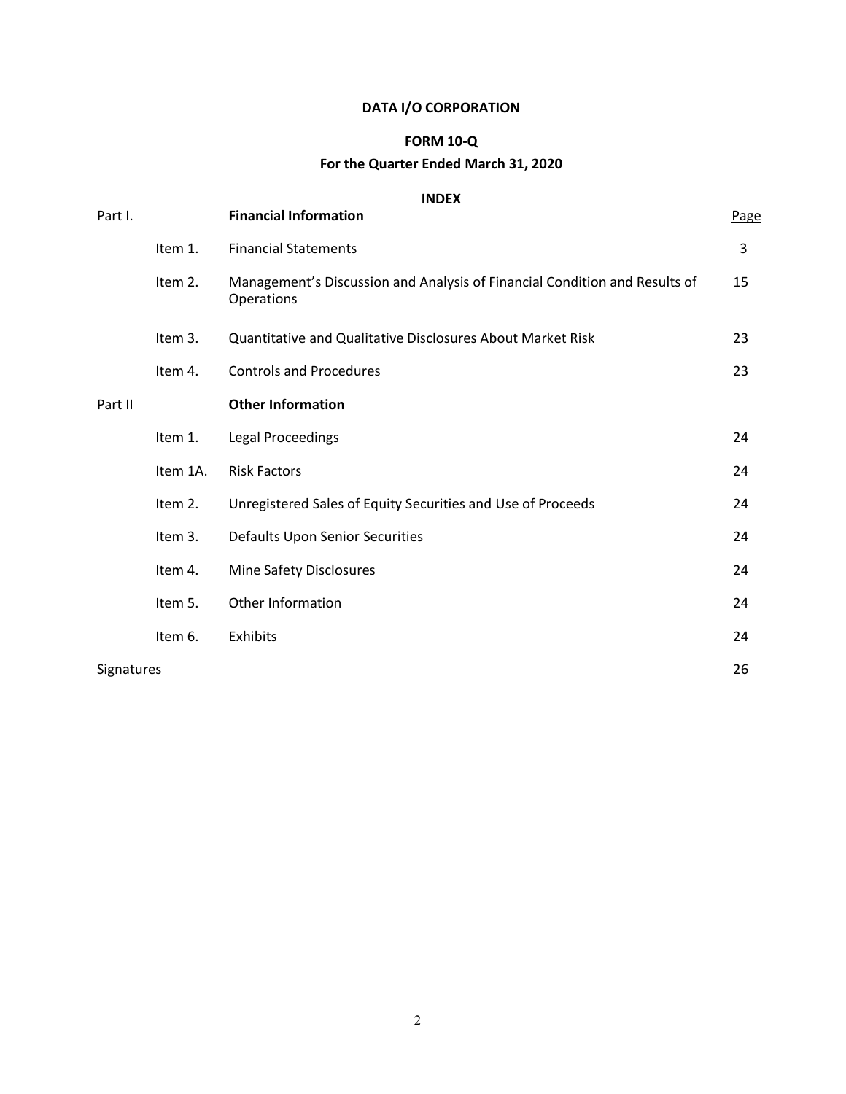# **DATA I/O CORPORATION**

## **FORM 10-Q**

## **For the Quarter Ended March 31, 2020**

## **INDEX**

| Part I.    |          | <b>INDEX</b><br><b>Financial Information</b>                                             | Page |
|------------|----------|------------------------------------------------------------------------------------------|------|
|            | Item 1.  | <b>Financial Statements</b>                                                              | 3    |
|            | Item 2.  | Management's Discussion and Analysis of Financial Condition and Results of<br>Operations | 15   |
|            | Item 3.  | <b>Quantitative and Qualitative Disclosures About Market Risk</b>                        | 23   |
|            | Item 4.  | <b>Controls and Procedures</b>                                                           | 23   |
| Part II    |          | <b>Other Information</b>                                                                 |      |
|            | Item 1.  | Legal Proceedings                                                                        | 24   |
|            | Item 1A. | <b>Risk Factors</b>                                                                      | 24   |
|            | Item 2.  | Unregistered Sales of Equity Securities and Use of Proceeds                              | 24   |
|            | Item 3.  | Defaults Upon Senior Securities                                                          | 24   |
|            | Item 4.  | Mine Safety Disclosures                                                                  | 24   |
|            | Item 5.  | Other Information                                                                        | 24   |
|            | Item 6.  | Exhibits                                                                                 | 24   |
| Signatures |          |                                                                                          | 26   |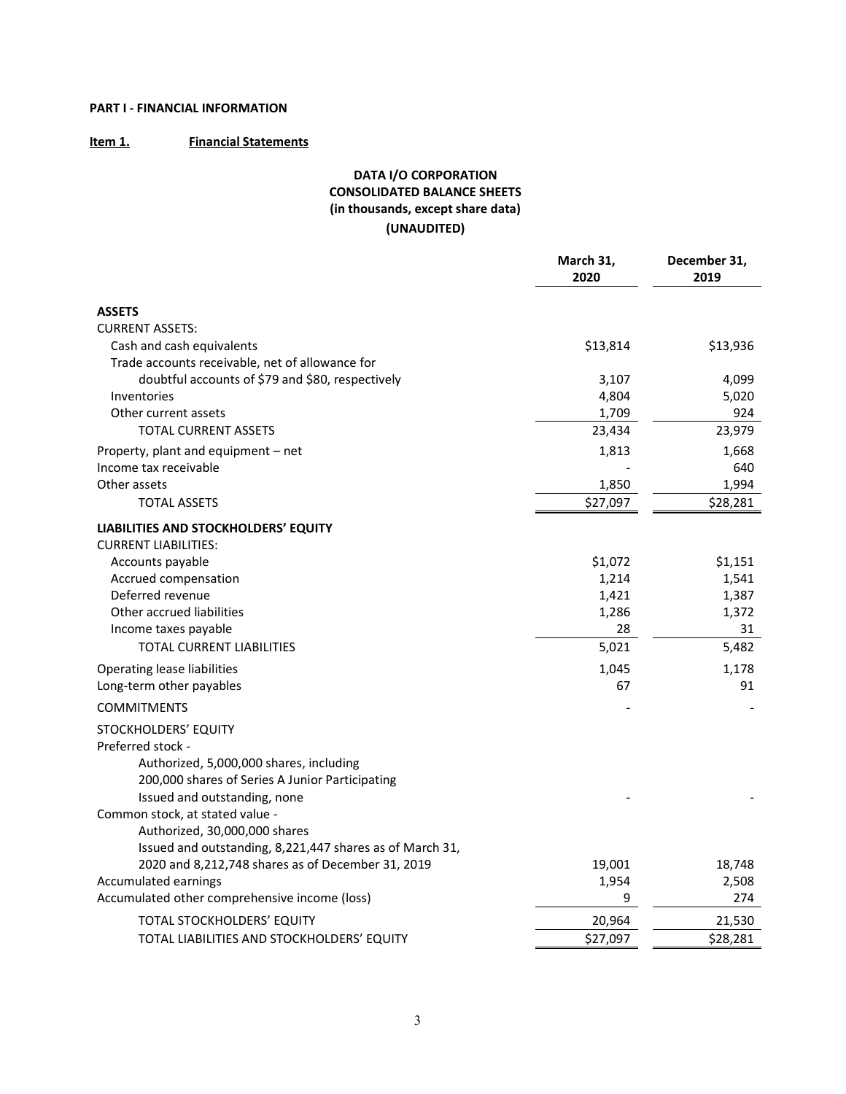## **PART I - FINANCIAL INFORMATION**

## **Item 1. Financial Statements**

## **DATA I/O CORPORATION CONSOLIDATED BALANCE SHEETS (in thousands, except share data) (UNAUDITED)**

|                                                          | March 31,<br>2020 | December 31,<br>2019 |
|----------------------------------------------------------|-------------------|----------------------|
| <b>ASSETS</b>                                            |                   |                      |
| <b>CURRENT ASSETS:</b>                                   |                   |                      |
| Cash and cash equivalents                                | \$13,814          | \$13,936             |
| Trade accounts receivable, net of allowance for          |                   |                      |
| doubtful accounts of \$79 and \$80, respectively         | 3,107             | 4,099                |
| Inventories                                              | 4,804             | 5,020                |
| Other current assets                                     | 1,709             | 924                  |
| <b>TOTAL CURRENT ASSETS</b>                              | 23,434            | 23,979               |
| Property, plant and equipment - net                      | 1,813             | 1,668                |
| Income tax receivable                                    |                   | 640                  |
| Other assets                                             | 1,850             | 1,994                |
| <b>TOTAL ASSETS</b>                                      | \$27,097          | \$28,281             |
| LIABILITIES AND STOCKHOLDERS' EQUITY                     |                   |                      |
| <b>CURRENT LIABILITIES:</b>                              |                   |                      |
| Accounts payable                                         | \$1,072           | \$1,151              |
| Accrued compensation                                     | 1,214             | 1,541                |
| Deferred revenue                                         | 1,421             | 1,387                |
| Other accrued liabilities                                | 1,286             | 1,372                |
| Income taxes payable                                     | 28                | 31                   |
| TOTAL CURRENT LIABILITIES                                | 5,021             | 5,482                |
| Operating lease liabilities                              | 1,045             | 1,178                |
| Long-term other payables                                 | 67                | 91                   |
| <b>COMMITMENTS</b>                                       |                   |                      |
| STOCKHOLDERS' EQUITY                                     |                   |                      |
| Preferred stock -                                        |                   |                      |
| Authorized, 5,000,000 shares, including                  |                   |                      |
| 200,000 shares of Series A Junior Participating          |                   |                      |
| Issued and outstanding, none                             |                   |                      |
| Common stock, at stated value -                          |                   |                      |
| Authorized, 30,000,000 shares                            |                   |                      |
| Issued and outstanding, 8,221,447 shares as of March 31, |                   |                      |
| 2020 and 8,212,748 shares as of December 31, 2019        | 19,001            | 18,748               |
| Accumulated earnings                                     | 1,954             | 2,508                |
| Accumulated other comprehensive income (loss)            | 9                 | 274                  |
| TOTAL STOCKHOLDERS' EQUITY                               | 20,964            | 21,530               |
| TOTAL LIABILITIES AND STOCKHOLDERS' EQUITY               | \$27,097          | \$28,281             |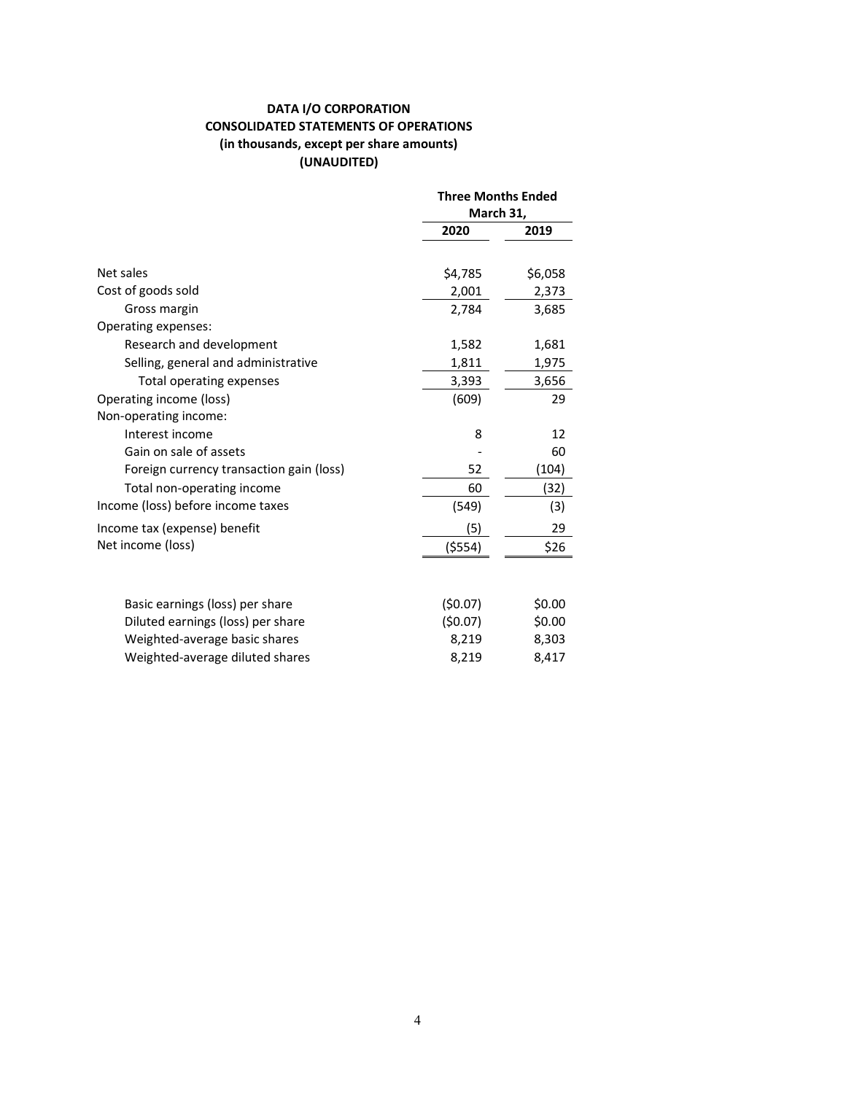## **DATA I/O CORPORATION CONSOLIDATED STATEMENTS OF OPERATIONS (in thousands, except per share amounts) (UNAUDITED)**

|                                          | <b>Three Months Ended</b><br>March 31, |         |
|------------------------------------------|----------------------------------------|---------|
|                                          | 2020                                   | 2019    |
| Net sales                                | \$4,785                                | \$6,058 |
| Cost of goods sold                       | 2,001                                  | 2,373   |
| Gross margin                             |                                        |         |
|                                          | 2,784                                  | 3,685   |
| Operating expenses:                      |                                        |         |
| Research and development                 | 1,582                                  | 1,681   |
| Selling, general and administrative      | 1,811                                  | 1,975   |
| Total operating expenses                 | 3,393                                  | 3,656   |
| Operating income (loss)                  | (609)                                  | 29      |
| Non-operating income:                    |                                        |         |
| Interest income                          | 8                                      | 12      |
| Gain on sale of assets                   |                                        | 60      |
| Foreign currency transaction gain (loss) | 52                                     | (104)   |
| Total non-operating income               | 60                                     | (32)    |
| Income (loss) before income taxes        | (549)                                  | (3)     |
| Income tax (expense) benefit             | (5)                                    | 29      |
| Net income (loss)                        | ( \$554)                               | \$26    |
|                                          |                                        |         |
| Basic earnings (loss) per share          | (50.07)                                | \$0.00  |
| Diluted earnings (loss) per share        | (50.07)                                | \$0.00  |
| Weighted-average basic shares            | 8,219                                  | 8,303   |
| Weighted-average diluted shares          | 8,219                                  | 8,417   |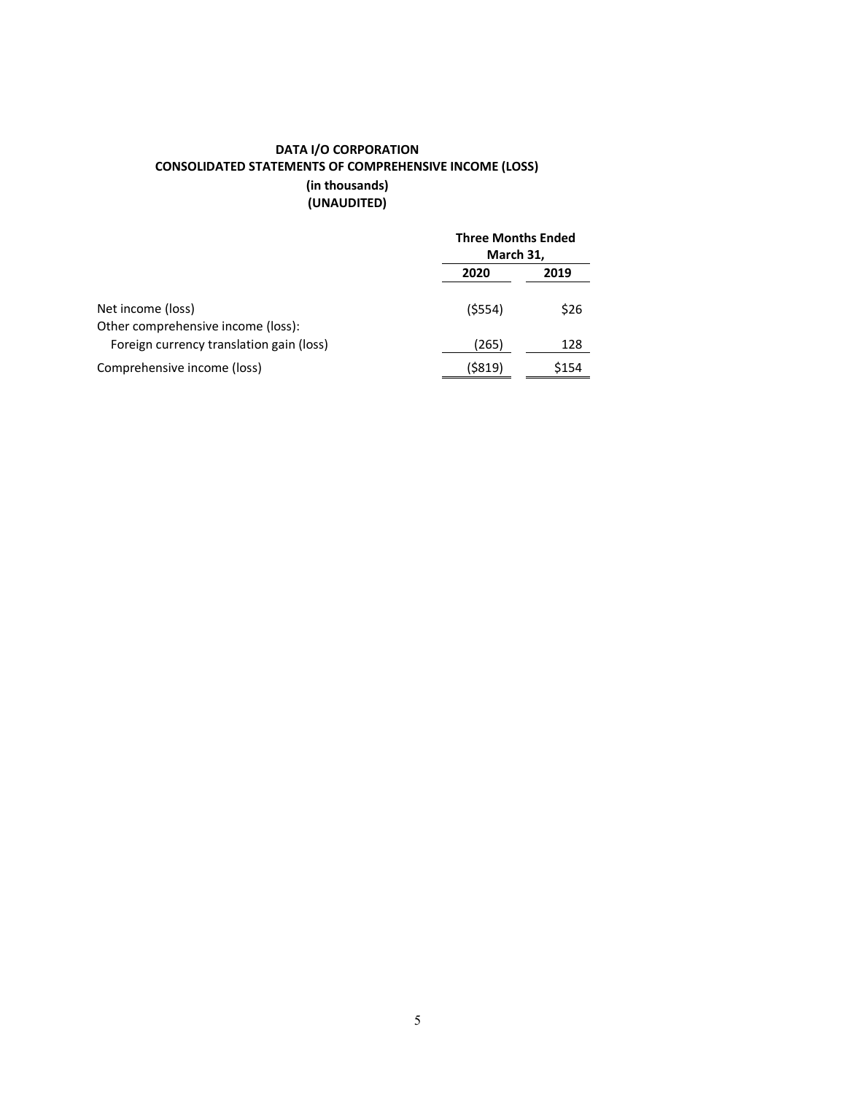## **DATA I/O CORPORATION CONSOLIDATED STATEMENTS OF COMPREHENSIVE INCOME (LOSS) (in thousands) (UNAUDITED)**

|                                                         |            | <b>Three Months Ended</b><br>March 31, |  |
|---------------------------------------------------------|------------|----------------------------------------|--|
|                                                         | 2020       | 2019                                   |  |
| Net income (loss)<br>Other comprehensive income (loss): | $($ \$554) | \$26                                   |  |
| Foreign currency translation gain (loss)                | (265)      | 128                                    |  |
| Comprehensive income (loss)                             | (\$819)    | \$154                                  |  |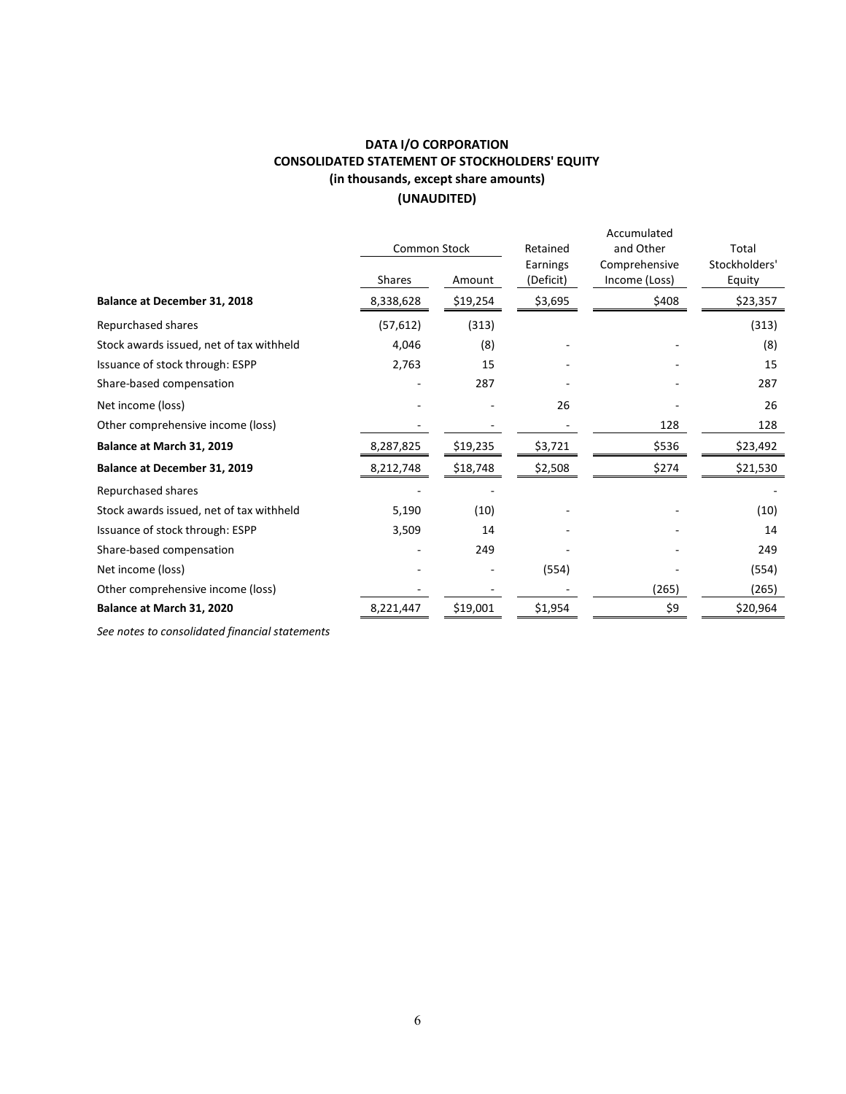## **DATA I/O CORPORATION CONSOLIDATED STATEMENT OF STOCKHOLDERS' EQUITY (in thousands, except share amounts) (UNAUDITED)**

|                                          | Common Stock<br>Shares | Amount   | Retained<br>Earnings<br>(Deficit) | Accumulated<br>and Other<br>Comprehensive<br>Income (Loss) | Total<br>Stockholders'<br>Equity |
|------------------------------------------|------------------------|----------|-----------------------------------|------------------------------------------------------------|----------------------------------|
| Balance at December 31, 2018             | 8,338,628              | \$19,254 | \$3,695                           | \$408                                                      | \$23,357                         |
| Repurchased shares                       | (57, 612)              | (313)    |                                   |                                                            | (313)                            |
| Stock awards issued, net of tax withheld | 4,046                  | (8)      |                                   |                                                            | (8)                              |
| Issuance of stock through: ESPP          | 2,763                  | 15       |                                   |                                                            | 15                               |
| Share-based compensation                 |                        | 287      |                                   |                                                            | 287                              |
| Net income (loss)                        |                        |          | 26                                |                                                            | 26                               |
| Other comprehensive income (loss)        |                        |          |                                   | 128                                                        | 128                              |
| Balance at March 31, 2019                | 8,287,825              | \$19,235 | \$3,721                           | \$536                                                      | \$23,492                         |
| Balance at December 31, 2019             | 8,212,748              | \$18,748 | \$2,508                           | \$274                                                      | \$21,530                         |
| Repurchased shares                       |                        |          |                                   |                                                            |                                  |
| Stock awards issued, net of tax withheld | 5,190                  | (10)     |                                   |                                                            | (10)                             |
| Issuance of stock through: ESPP          | 3,509                  | 14       |                                   |                                                            | 14                               |
| Share-based compensation                 |                        | 249      |                                   |                                                            | 249                              |
| Net income (loss)                        |                        |          | (554)                             |                                                            | (554)                            |
| Other comprehensive income (loss)        |                        |          |                                   | (265)                                                      | (265)                            |
| Balance at March 31, 2020                | 8,221,447              | \$19,001 | \$1,954                           | \$9                                                        | \$20,964                         |

*See notes to consolidated financial statements*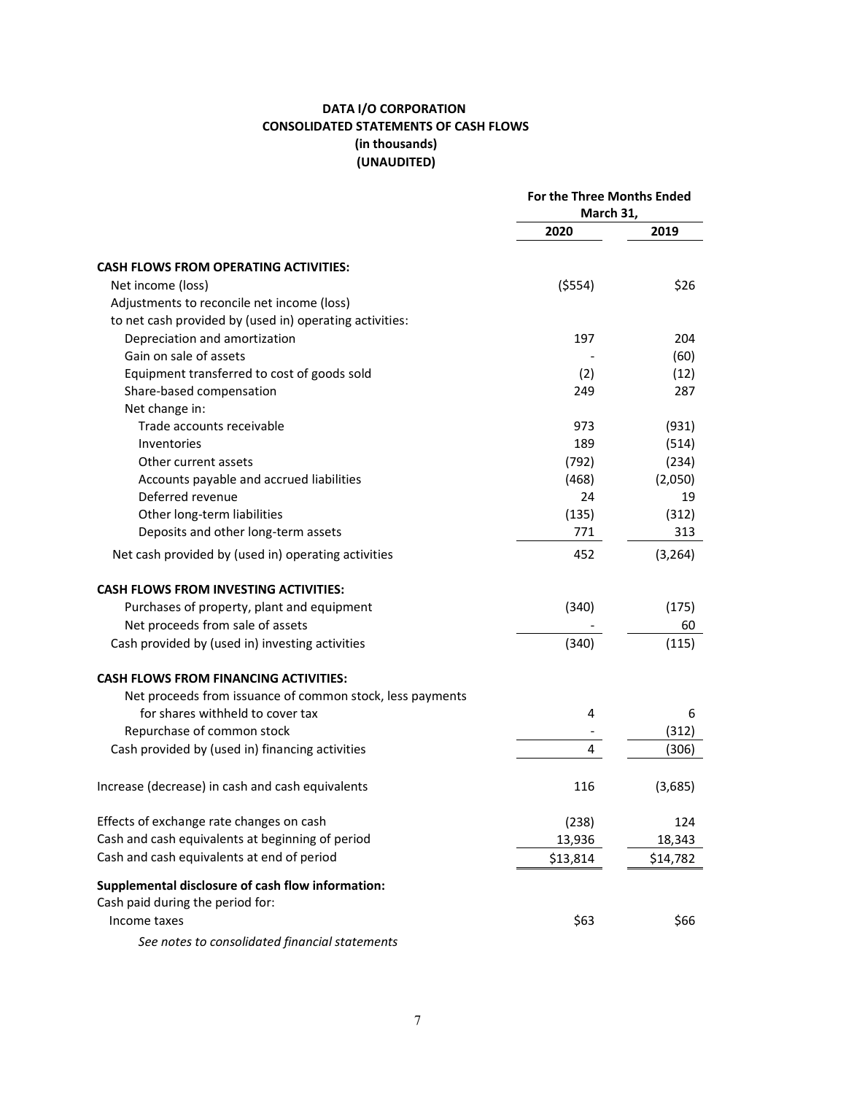## **DATA I/O CORPORATION CONSOLIDATED STATEMENTS OF CASH FLOWS (in thousands) (UNAUDITED)**

|                                                           | For the Three Months Ended<br>March 31, |          |
|-----------------------------------------------------------|-----------------------------------------|----------|
|                                                           | 2020                                    | 2019     |
| <b>CASH FLOWS FROM OPERATING ACTIVITIES:</b>              |                                         |          |
| Net income (loss)                                         | ( \$554)                                | \$26     |
| Adjustments to reconcile net income (loss)                |                                         |          |
| to net cash provided by (used in) operating activities:   |                                         |          |
| Depreciation and amortization                             | 197                                     | 204      |
| Gain on sale of assets                                    |                                         | (60)     |
| Equipment transferred to cost of goods sold               | (2)                                     | (12)     |
| Share-based compensation                                  | 249                                     | 287      |
| Net change in:                                            |                                         |          |
| Trade accounts receivable                                 | 973                                     | (931)    |
| Inventories                                               | 189                                     | (514)    |
| Other current assets                                      | (792)                                   | (234)    |
| Accounts payable and accrued liabilities                  | (468)                                   | (2,050)  |
| Deferred revenue                                          | 24                                      | 19       |
| Other long-term liabilities                               | (135)                                   | (312)    |
| Deposits and other long-term assets                       | 771                                     | 313      |
| Net cash provided by (used in) operating activities       | 452                                     | (3, 264) |
| <b>CASH FLOWS FROM INVESTING ACTIVITIES:</b>              |                                         |          |
| Purchases of property, plant and equipment                | (340)                                   | (175)    |
| Net proceeds from sale of assets                          |                                         | 60       |
|                                                           |                                         |          |
| Cash provided by (used in) investing activities           | (340)                                   | (115)    |
| <b>CASH FLOWS FROM FINANCING ACTIVITIES:</b>              |                                         |          |
| Net proceeds from issuance of common stock, less payments |                                         |          |
| for shares withheld to cover tax                          | 4                                       | 6        |
| Repurchase of common stock                                |                                         | (312)    |
| Cash provided by (used in) financing activities           | 4                                       | (306)    |
| Increase (decrease) in cash and cash equivalents          | 116                                     | (3,685)  |
| Effects of exchange rate changes on cash                  | (238)                                   | 124      |
| Cash and cash equivalents at beginning of period          | 13,936                                  | 18,343   |
| Cash and cash equivalents at end of period                | \$13,814                                | \$14,782 |
| Supplemental disclosure of cash flow information:         |                                         |          |
| Cash paid during the period for:                          |                                         |          |
| Income taxes                                              | \$63                                    | \$66     |
| See notes to consolidated financial statements            |                                         |          |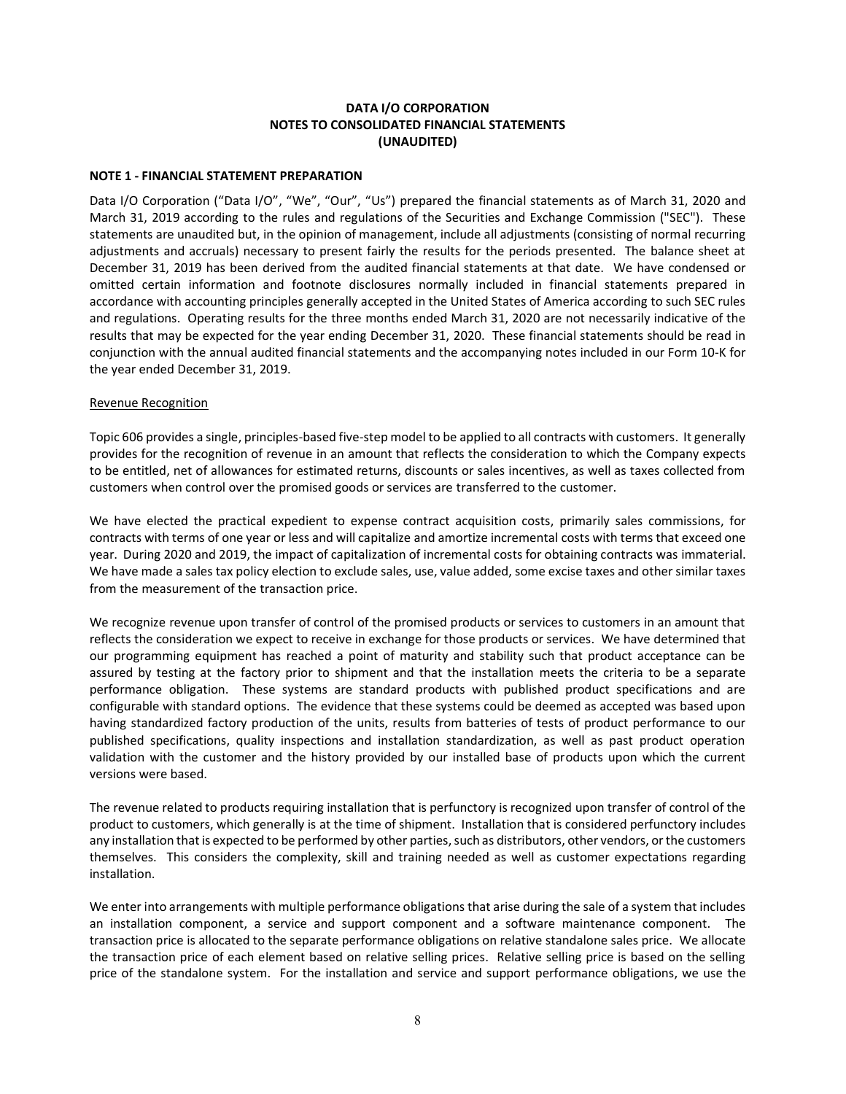#### **DATA I/O CORPORATION NOTES TO CONSOLIDATED FINANCIAL STATEMENTS (UNAUDITED)**

#### **NOTE 1 - FINANCIAL STATEMENT PREPARATION**

Data I/O Corporation ("Data I/O", "We", "Our", "Us") prepared the financial statements as of March 31, 2020 and March 31, 2019 according to the rules and regulations of the Securities and Exchange Commission ("SEC"). These statements are unaudited but, in the opinion of management, include all adjustments (consisting of normal recurring adjustments and accruals) necessary to present fairly the results for the periods presented. The balance sheet at December 31, 2019 has been derived from the audited financial statements at that date. We have condensed or omitted certain information and footnote disclosures normally included in financial statements prepared in accordance with accounting principles generally accepted in the United States of America according to such SEC rules and regulations. Operating results for the three months ended March 31, 2020 are not necessarily indicative of the results that may be expected for the year ending December 31, 2020. These financial statements should be read in conjunction with the annual audited financial statements and the accompanying notes included in our Form 10-K for the year ended December 31, 2019.

#### Revenue Recognition

Topic 606 provides a single, principles-based five-step model to be applied to all contracts with customers. It generally provides for the recognition of revenue in an amount that reflects the consideration to which the Company expects to be entitled, net of allowances for estimated returns, discounts or sales incentives, as well as taxes collected from customers when control over the promised goods or services are transferred to the customer.

We have elected the practical expedient to expense contract acquisition costs, primarily sales commissions, for contracts with terms of one year or less and will capitalize and amortize incremental costs with terms that exceed one year. During 2020 and 2019, the impact of capitalization of incremental costs for obtaining contracts was immaterial. We have made a sales tax policy election to exclude sales, use, value added, some excise taxes and other similar taxes from the measurement of the transaction price.

We recognize revenue upon transfer of control of the promised products or services to customers in an amount that reflects the consideration we expect to receive in exchange for those products or services. We have determined that our programming equipment has reached a point of maturity and stability such that product acceptance can be assured by testing at the factory prior to shipment and that the installation meets the criteria to be a separate performance obligation. These systems are standard products with published product specifications and are configurable with standard options. The evidence that these systems could be deemed as accepted was based upon having standardized factory production of the units, results from batteries of tests of product performance to our published specifications, quality inspections and installation standardization, as well as past product operation validation with the customer and the history provided by our installed base of products upon which the current versions were based.

The revenue related to products requiring installation that is perfunctory is recognized upon transfer of control of the product to customers, which generally is at the time of shipment. Installation that is considered perfunctory includes any installation that is expected to be performed by other parties, such as distributors, other vendors, or the customers themselves. This considers the complexity, skill and training needed as well as customer expectations regarding installation.

We enter into arrangements with multiple performance obligations that arise during the sale of a system that includes an installation component, a service and support component and a software maintenance component. The transaction price is allocated to the separate performance obligations on relative standalone sales price. We allocate the transaction price of each element based on relative selling prices. Relative selling price is based on the selling price of the standalone system. For the installation and service and support performance obligations, we use the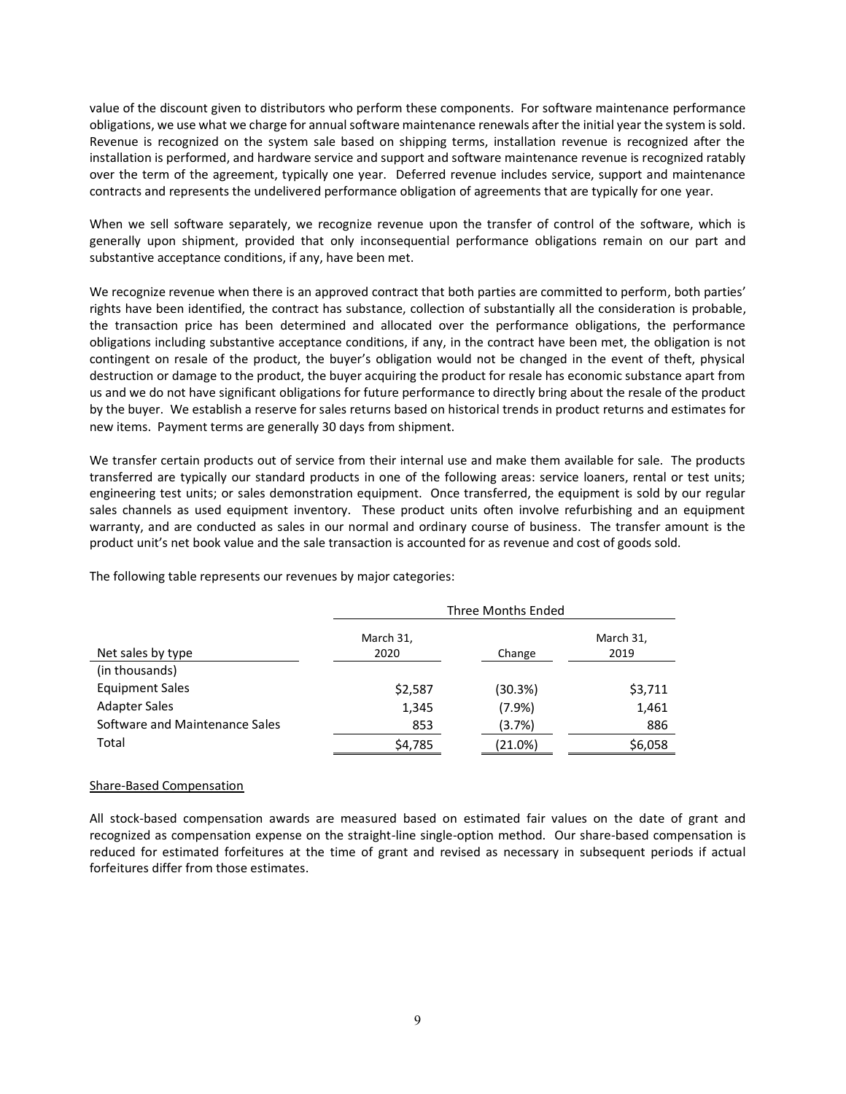value of the discount given to distributors who perform these components. For software maintenance performance obligations, we use what we charge for annual software maintenance renewals after the initial year the system is sold. Revenue is recognized on the system sale based on shipping terms, installation revenue is recognized after the installation is performed, and hardware service and support and software maintenance revenue is recognized ratably over the term of the agreement, typically one year. Deferred revenue includes service, support and maintenance contracts and represents the undelivered performance obligation of agreements that are typically for one year.

When we sell software separately, we recognize revenue upon the transfer of control of the software, which is generally upon shipment, provided that only inconsequential performance obligations remain on our part and substantive acceptance conditions, if any, have been met.

We recognize revenue when there is an approved contract that both parties are committed to perform, both parties' rights have been identified, the contract has substance, collection of substantially all the consideration is probable, the transaction price has been determined and allocated over the performance obligations, the performance obligations including substantive acceptance conditions, if any, in the contract have been met, the obligation is not contingent on resale of the product, the buyer's obligation would not be changed in the event of theft, physical destruction or damage to the product, the buyer acquiring the product for resale has economic substance apart from us and we do not have significant obligations for future performance to directly bring about the resale of the product by the buyer. We establish a reserve for sales returns based on historical trends in product returns and estimates for new items. Payment terms are generally 30 days from shipment.

We transfer certain products out of service from their internal use and make them available for sale. The products transferred are typically our standard products in one of the following areas: service loaners, rental or test units; engineering test units; or sales demonstration equipment. Once transferred, the equipment is sold by our regular sales channels as used equipment inventory. These product units often involve refurbishing and an equipment warranty, and are conducted as sales in our normal and ordinary course of business. The transfer amount is the product unit's net book value and the sale transaction is accounted for as revenue and cost of goods sold.

|                                | Three Months Ended |         |                   |
|--------------------------------|--------------------|---------|-------------------|
| Net sales by type              | March 31,<br>2020  | Change  | March 31,<br>2019 |
| (in thousands)                 |                    |         |                   |
| <b>Equipment Sales</b>         | \$2,587            | (30.3%) | \$3,711           |
| <b>Adapter Sales</b>           | 1,345              | (7.9%)  | 1,461             |
| Software and Maintenance Sales | 853                | (3.7%)  | 886               |
| Total                          | \$4,785            | (21.0%) | \$6,058           |

The following table represents our revenues by major categories:

#### Share-Based Compensation

All stock-based compensation awards are measured based on estimated fair values on the date of grant and recognized as compensation expense on the straight-line single-option method. Our share-based compensation is reduced for estimated forfeitures at the time of grant and revised as necessary in subsequent periods if actual forfeitures differ from those estimates.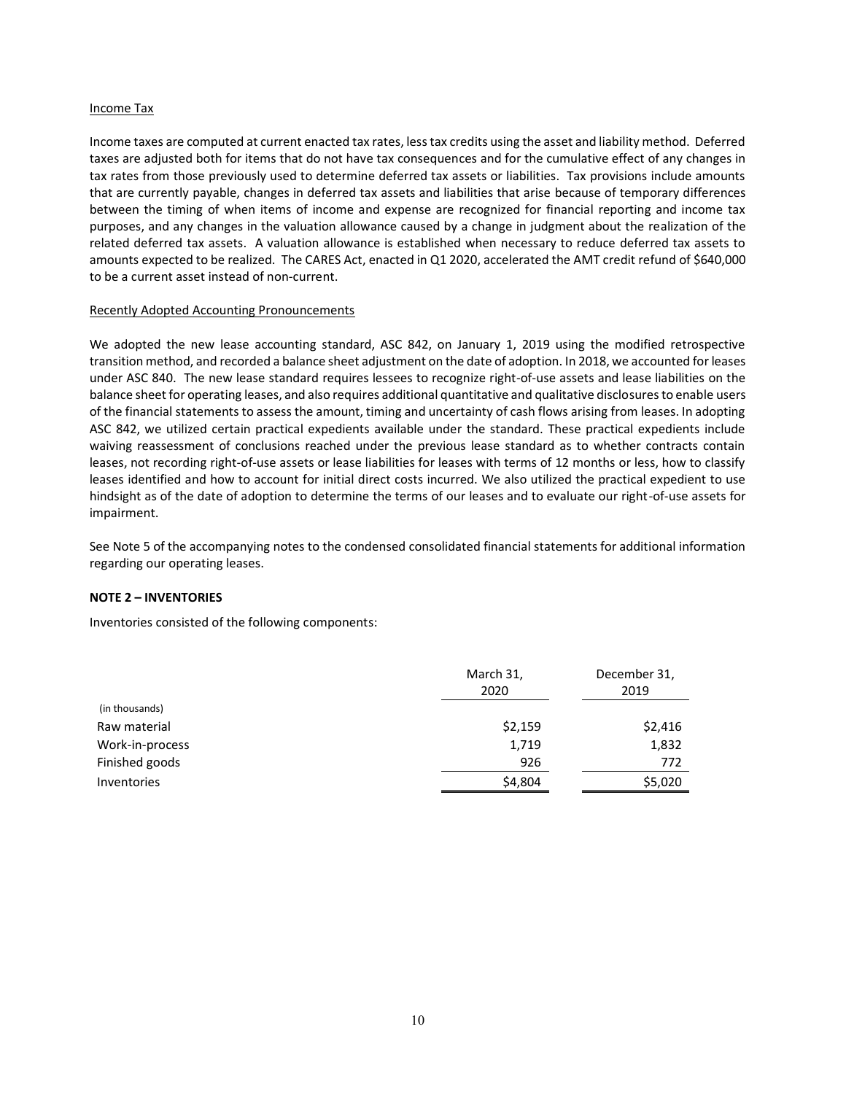#### Income Tax

Income taxes are computed at current enacted tax rates, less tax credits using the asset and liability method. Deferred taxes are adjusted both for items that do not have tax consequences and for the cumulative effect of any changes in tax rates from those previously used to determine deferred tax assets or liabilities. Tax provisions include amounts that are currently payable, changes in deferred tax assets and liabilities that arise because of temporary differences between the timing of when items of income and expense are recognized for financial reporting and income tax purposes, and any changes in the valuation allowance caused by a change in judgment about the realization of the related deferred tax assets. A valuation allowance is established when necessary to reduce deferred tax assets to amounts expected to be realized. The CARES Act, enacted in Q1 2020, accelerated the AMT credit refund of \$640,000 to be a current asset instead of non-current.

#### Recently Adopted Accounting Pronouncements

We adopted the new lease accounting standard, ASC 842, on January 1, 2019 using the modified retrospective transition method, and recorded a balance sheet adjustment on the date of adoption. In 2018, we accounted for leases under ASC 840. The new lease standard requires lessees to recognize right-of-use assets and lease liabilities on the balance sheet for operating leases, and also requires additional quantitative and qualitative disclosures to enable users of the financial statements to assess the amount, timing and uncertainty of cash flows arising from leases. In adopting ASC 842, we utilized certain practical expedients available under the standard. These practical expedients include waiving reassessment of conclusions reached under the previous lease standard as to whether contracts contain leases, not recording right-of-use assets or lease liabilities for leases with terms of 12 months or less, how to classify leases identified and how to account for initial direct costs incurred. We also utilized the practical expedient to use hindsight as of the date of adoption to determine the terms of our leases and to evaluate our right-of-use assets for impairment.

See Note 5 of the accompanying notes to the condensed consolidated financial statements for additional information regarding our operating leases.

#### **NOTE 2 – INVENTORIES**

Inventories consisted of the following components:

|                 | March 31,<br>2020 | December 31,<br>2019 |
|-----------------|-------------------|----------------------|
| (in thousands)  |                   |                      |
| Raw material    | \$2,159           | \$2,416              |
| Work-in-process | 1,719             | 1,832                |
| Finished goods  | 926               | 772                  |
| Inventories     | \$4,804           | \$5,020              |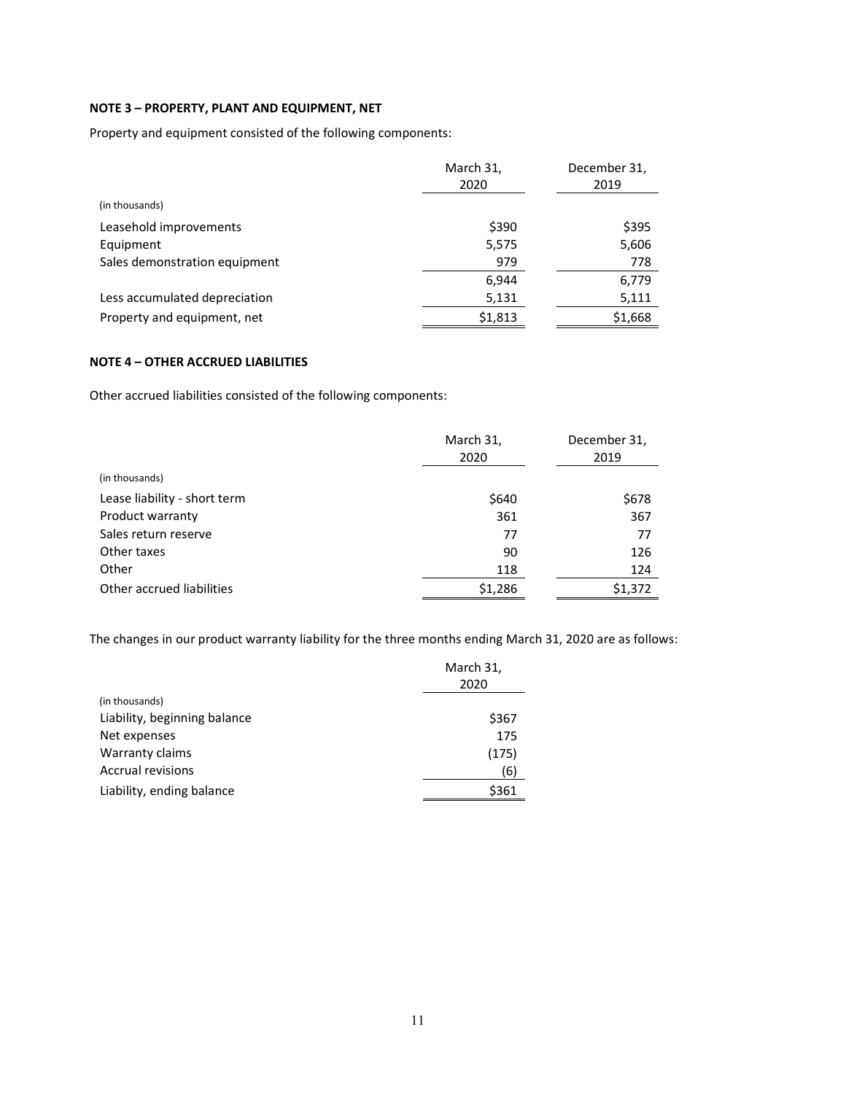## **NOTE 3 – PROPERTY, PLANT AND EQUIPMENT, NET**

Property and equipment consisted of the following components:

|                               | March 31,<br>2020 | December 31,<br>2019 |
|-------------------------------|-------------------|----------------------|
| (in thousands)                |                   |                      |
| Leasehold improvements        | \$390             | \$395                |
| Equipment                     | 5,575             | 5,606                |
| Sales demonstration equipment | 979               | 778                  |
|                               | 6.944             | 6,779                |
| Less accumulated depreciation | 5,131             | 5,111                |
| Property and equipment, net   | \$1,813           | \$1,668              |

## **NOTE 4 – OTHER ACCRUED LIABILITIES**

Other accrued liabilities consisted of the following components:

|                              | March 31,<br>2020 | December 31,<br>2019 |
|------------------------------|-------------------|----------------------|
| (in thousands)               |                   |                      |
| Lease liability - short term | \$640             | \$678                |
| Product warranty             | 361               | 367                  |
| Sales return reserve         | 77                | 77                   |
| Other taxes                  | 90                | 126                  |
| Other                        | 118               | 124                  |
| Other accrued liabilities    | \$1,286           | \$1,372              |

The changes in our product warranty liability for the three months ending March 31, 2020 are as follows:

|                              | March 31, |
|------------------------------|-----------|
|                              | 2020      |
| (in thousands)               |           |
| Liability, beginning balance | \$367     |
| Net expenses                 | 175       |
| Warranty claims              | (175)     |
| <b>Accrual revisions</b>     | (6)       |
| Liability, ending balance    | \$361     |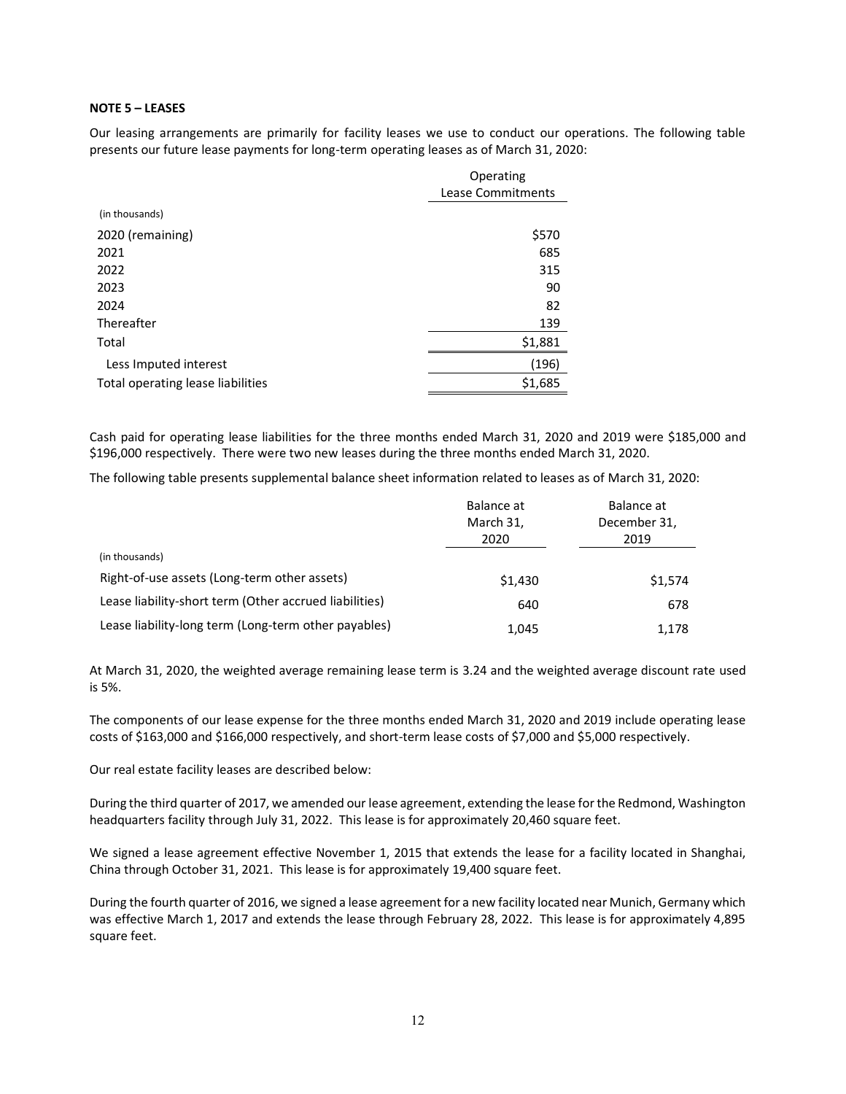#### **NOTE 5 – LEASES**

Our leasing arrangements are primarily for facility leases we use to conduct our operations. The following table presents our future lease payments for long-term operating leases as of March 31, 2020:

|                                   | Operating         |
|-----------------------------------|-------------------|
|                                   | Lease Commitments |
| (in thousands)                    |                   |
| 2020 (remaining)                  | \$570             |
| 2021                              | 685               |
| 2022                              | 315               |
| 2023                              | 90                |
| 2024                              | 82                |
| Thereafter                        | 139               |
| Total                             | \$1,881           |
| Less Imputed interest             | (196)             |
| Total operating lease liabilities | \$1,685           |

Cash paid for operating lease liabilities for the three months ended March 31, 2020 and 2019 were \$185,000 and \$196,000 respectively. There were two new leases during the three months ended March 31, 2020.

The following table presents supplemental balance sheet information related to leases as of March 31, 2020:

|                                                        | Balance at | Balance at   |
|--------------------------------------------------------|------------|--------------|
|                                                        | March 31,  | December 31, |
|                                                        | 2020       | 2019         |
| (in thousands)                                         |            |              |
| Right-of-use assets (Long-term other assets)           | \$1,430    | \$1,574      |
| Lease liability-short term (Other accrued liabilities) | 640        | 678          |
| Lease liability-long term (Long-term other payables)   | 1,045      | 1,178        |

At March 31, 2020, the weighted average remaining lease term is 3.24 and the weighted average discount rate used is 5%.

The components of our lease expense for the three months ended March 31, 2020 and 2019 include operating lease costs of \$163,000 and \$166,000 respectively, and short-term lease costs of \$7,000 and \$5,000 respectively.

Our real estate facility leases are described below:

During the third quarter of 2017, we amended our lease agreement, extending the lease for the Redmond, Washington headquarters facility through July 31, 2022. This lease is for approximately 20,460 square feet.

We signed a lease agreement effective November 1, 2015 that extends the lease for a facility located in Shanghai, China through October 31, 2021. This lease is for approximately 19,400 square feet.

During the fourth quarter of 2016, we signed a lease agreement for a new facility located near Munich, Germany which was effective March 1, 2017 and extends the lease through February 28, 2022. This lease is for approximately 4,895 square feet.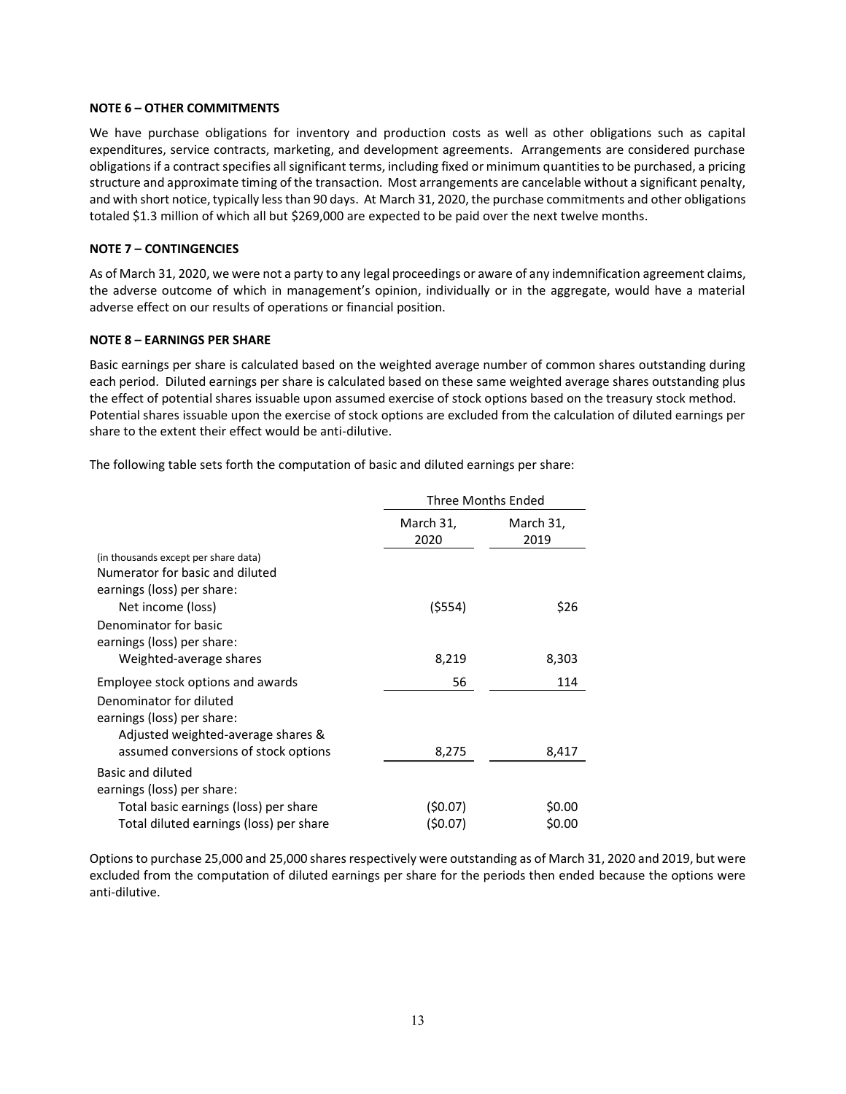#### **NOTE 6 – OTHER COMMITMENTS**

We have purchase obligations for inventory and production costs as well as other obligations such as capital expenditures, service contracts, marketing, and development agreements. Arrangements are considered purchase obligations if a contract specifies all significant terms, including fixed or minimum quantities to be purchased, a pricing structure and approximate timing of the transaction. Most arrangements are cancelable without a significant penalty, and with short notice, typically less than 90 days. At March 31, 2020, the purchase commitments and other obligations totaled \$1.3 million of which all but \$269,000 are expected to be paid over the next twelve months.

## **NOTE 7 – CONTINGENCIES**

As of March 31, 2020, we were not a party to any legal proceedings or aware of any indemnification agreement claims, the adverse outcome of which in management's opinion, individually or in the aggregate, would have a material adverse effect on our results of operations or financial position.

#### **NOTE 8 – EARNINGS PER SHARE**

Basic earnings per share is calculated based on the weighted average number of common shares outstanding during each period. Diluted earnings per share is calculated based on these same weighted average shares outstanding plus the effect of potential shares issuable upon assumed exercise of stock options based on the treasury stock method. Potential shares issuable upon the exercise of stock options are excluded from the calculation of diluted earnings per share to the extent their effect would be anti-dilutive.

The following table sets forth the computation of basic and diluted earnings per share:

|                                         | <b>Three Months Ended</b> |                   |
|-----------------------------------------|---------------------------|-------------------|
|                                         | March 31,<br>2020         | March 31,<br>2019 |
| (in thousands except per share data)    |                           |                   |
| Numerator for basic and diluted         |                           |                   |
| earnings (loss) per share:              |                           |                   |
| Net income (loss)                       | ( \$554)                  | \$26              |
| Denominator for basic                   |                           |                   |
| earnings (loss) per share:              |                           |                   |
| Weighted-average shares                 | 8,219                     | 8,303             |
| Employee stock options and awards       | 56                        | 114               |
| Denominator for diluted                 |                           |                   |
| earnings (loss) per share:              |                           |                   |
| Adjusted weighted-average shares &      |                           |                   |
| assumed conversions of stock options    | 8,275                     | 8,417             |
| Basic and diluted                       |                           |                   |
| earnings (loss) per share:              |                           |                   |
| Total basic earnings (loss) per share   | (50.07)                   | \$0.00            |
| Total diluted earnings (loss) per share | (\$0.07)                  | \$0.00            |

Options to purchase 25,000 and 25,000 shares respectively were outstanding as of March 31, 2020 and 2019, but were excluded from the computation of diluted earnings per share for the periods then ended because the options were anti-dilutive.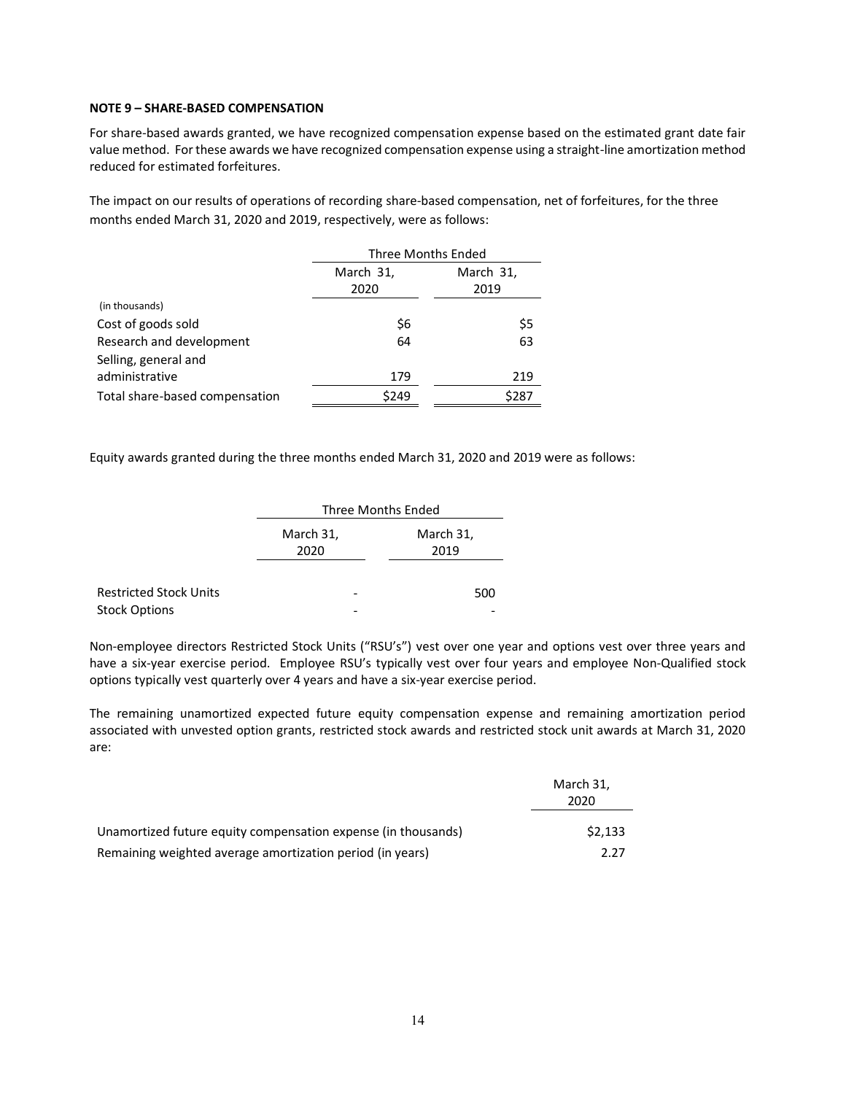#### **NOTE 9 – SHARE-BASED COMPENSATION**

For share-based awards granted, we have recognized compensation expense based on the estimated grant date fair value method. For these awards we have recognized compensation expense using a straight-line amortization method reduced for estimated forfeitures.

The impact on our results of operations of recording share-based compensation, net of forfeitures, for the three months ended March 31, 2020 and 2019, respectively, were as follows:

|                                | Three Months Ended     |       |  |
|--------------------------------|------------------------|-------|--|
|                                | March 31,<br>March 31, |       |  |
|                                | 2020                   | 2019  |  |
| (in thousands)                 |                        |       |  |
| Cost of goods sold             | \$6                    | \$5   |  |
| Research and development       | 64                     | 63    |  |
| Selling, general and           |                        |       |  |
| administrative                 | 179                    | 219   |  |
| Total share-based compensation | \$249                  | \$287 |  |

Equity awards granted during the three months ended March 31, 2020 and 2019 were as follows:

|                               | Three Months Ended |           |
|-------------------------------|--------------------|-----------|
|                               | March 31,          | March 31, |
|                               | 2020               | 2019      |
|                               |                    |           |
| <b>Restricted Stock Units</b> |                    | 500       |
| <b>Stock Options</b>          |                    |           |

Non-employee directors Restricted Stock Units ("RSU's") vest over one year and options vest over three years and have a six-year exercise period. Employee RSU's typically vest over four years and employee Non-Qualified stock options typically vest quarterly over 4 years and have a six-year exercise period.

The remaining unamortized expected future equity compensation expense and remaining amortization period associated with unvested option grants, restricted stock awards and restricted stock unit awards at March 31, 2020 are:

|                                                               | March 31. |  |
|---------------------------------------------------------------|-----------|--|
|                                                               | 2020      |  |
| Unamortized future equity compensation expense (in thousands) | \$2.133   |  |
| Remaining weighted average amortization period (in years)     | 2.27      |  |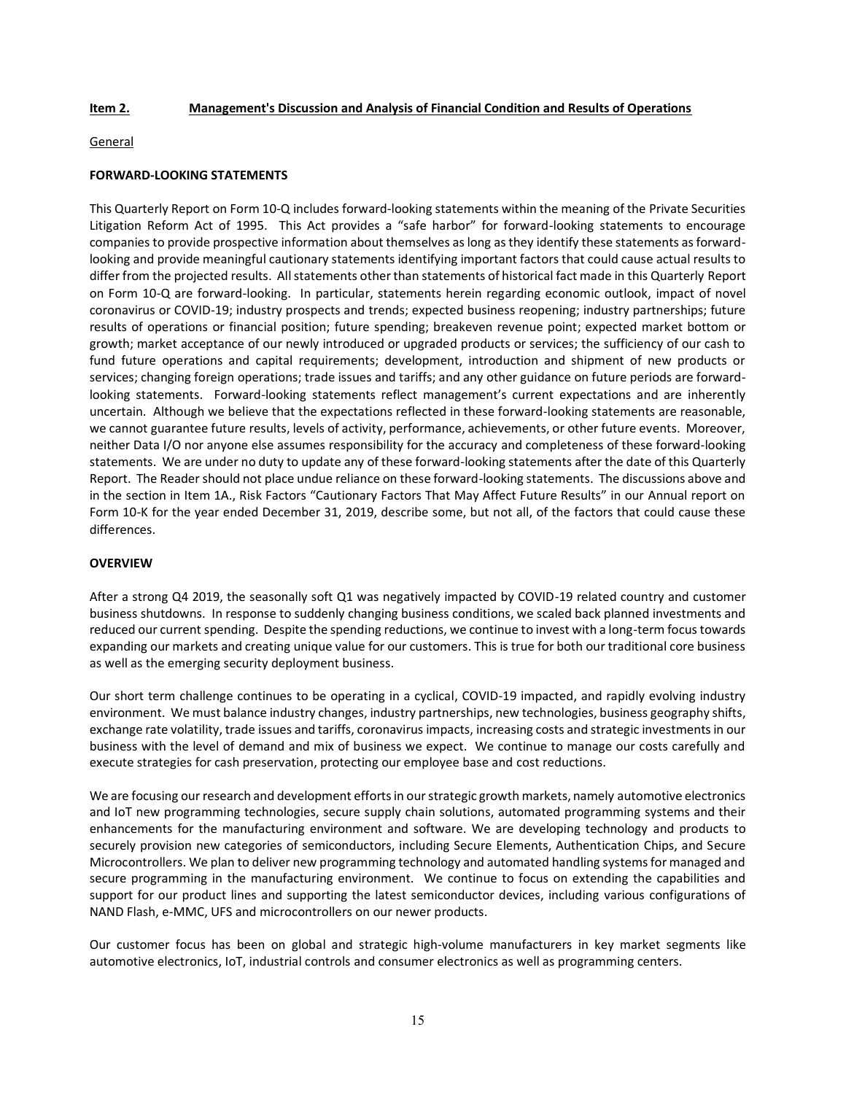#### **Item 2. Management's Discussion and Analysis of Financial Condition and Results of Operations**

#### General

### **FORWARD-LOOKING STATEMENTS**

This Quarterly Report on Form 10-Q includes forward-looking statements within the meaning of the Private Securities Litigation Reform Act of 1995. This Act provides a "safe harbor" for forward-looking statements to encourage companies to provide prospective information about themselves as long as they identify these statements as forwardlooking and provide meaningful cautionary statements identifying important factors that could cause actual results to differ from the projected results. All statements other than statements of historical fact made in this Quarterly Report on Form 10-Q are forward-looking. In particular, statements herein regarding economic outlook, impact of novel coronavirus or COVID-19; industry prospects and trends; expected business reopening; industry partnerships; future results of operations or financial position; future spending; breakeven revenue point; expected market bottom or growth; market acceptance of our newly introduced or upgraded products or services; the sufficiency of our cash to fund future operations and capital requirements; development, introduction and shipment of new products or services; changing foreign operations; trade issues and tariffs; and any other guidance on future periods are forwardlooking statements. Forward-looking statements reflect management's current expectations and are inherently uncertain. Although we believe that the expectations reflected in these forward-looking statements are reasonable, we cannot guarantee future results, levels of activity, performance, achievements, or other future events. Moreover, neither Data I/O nor anyone else assumes responsibility for the accuracy and completeness of these forward-looking statements. We are under no duty to update any of these forward-looking statements after the date of this Quarterly Report. The Reader should not place undue reliance on these forward-looking statements. The discussions above and in the section in Item 1A., Risk Factors "Cautionary Factors That May Affect Future Results" in our Annual report on Form 10-K for the year ended December 31, 2019, describe some, but not all, of the factors that could cause these differences.

#### **OVERVIEW**

After a strong Q4 2019, the seasonally soft Q1 was negatively impacted by COVID-19 related country and customer business shutdowns. In response to suddenly changing business conditions, we scaled back planned investments and reduced our current spending. Despite the spending reductions, we continue to invest with a long-term focus towards expanding our markets and creating unique value for our customers. This is true for both our traditional core business as well as the emerging security deployment business.

Our short term challenge continues to be operating in a cyclical, COVID-19 impacted, and rapidly evolving industry environment. We must balance industry changes, industry partnerships, new technologies, business geography shifts, exchange rate volatility, trade issues and tariffs, coronavirus impacts, increasing costs and strategic investments in our business with the level of demand and mix of business we expect. We continue to manage our costs carefully and execute strategies for cash preservation, protecting our employee base and cost reductions.

We are focusing our research and development efforts in our strategic growth markets, namely automotive electronics and IoT new programming technologies, secure supply chain solutions, automated programming systems and their enhancements for the manufacturing environment and software. We are developing technology and products to securely provision new categories of semiconductors, including Secure Elements, Authentication Chips, and Secure Microcontrollers. We plan to deliver new programming technology and automated handling systems for managed and secure programming in the manufacturing environment. We continue to focus on extending the capabilities and support for our product lines and supporting the latest semiconductor devices, including various configurations of NAND Flash, e-MMC, UFS and microcontrollers on our newer products.

Our customer focus has been on global and strategic high-volume manufacturers in key market segments like automotive electronics, IoT, industrial controls and consumer electronics as well as programming centers.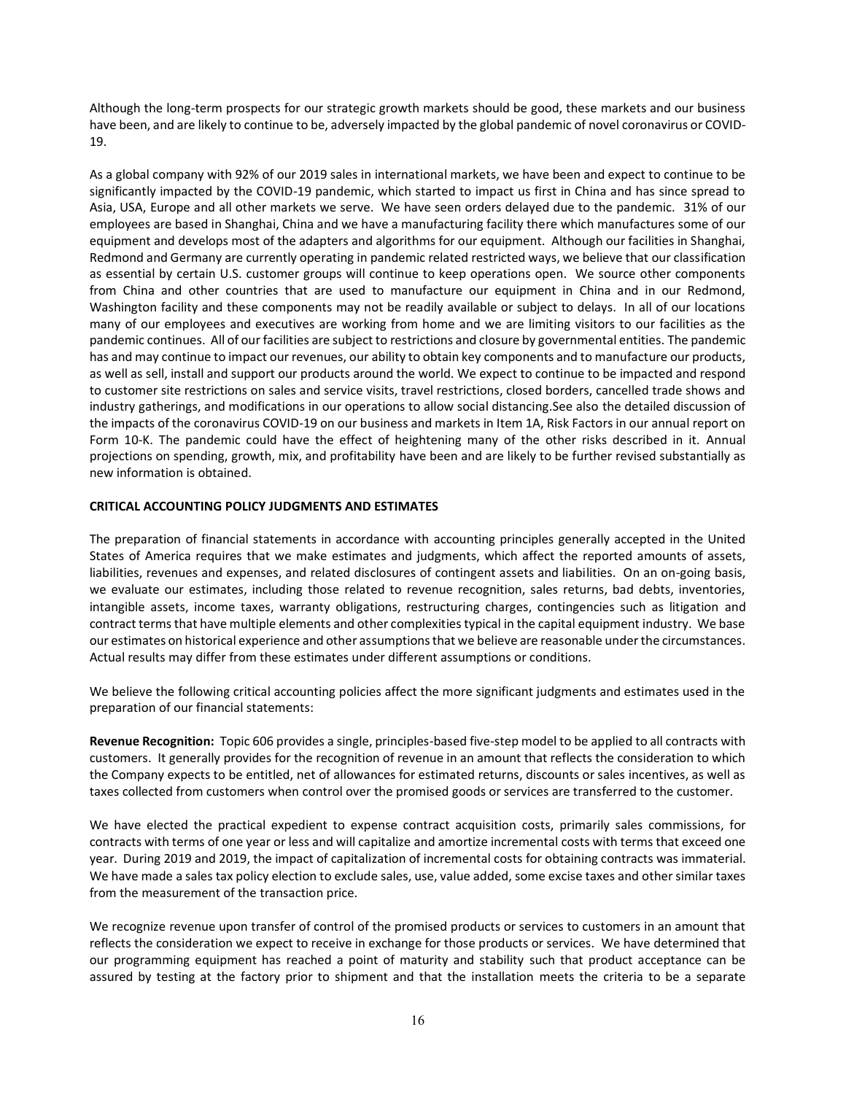Although the long-term prospects for our strategic growth markets should be good, these markets and our business have been, and are likely to continue to be, adversely impacted by the global pandemic of novel coronavirus or COVID-19.

As a global company with 92% of our 2019 sales in international markets, we have been and expect to continue to be significantly impacted by the COVID-19 pandemic, which started to impact us first in China and has since spread to Asia, USA, Europe and all other markets we serve. We have seen orders delayed due to the pandemic. 31% of our employees are based in Shanghai, China and we have a manufacturing facility there which manufactures some of our equipment and develops most of the adapters and algorithms for our equipment. Although our facilities in Shanghai, Redmond and Germany are currently operating in pandemic related restricted ways, we believe that our classification as essential by certain U.S. customer groups will continue to keep operations open. We source other components from China and other countries that are used to manufacture our equipment in China and in our Redmond, Washington facility and these components may not be readily available or subject to delays. In all of our locations many of our employees and executives are working from home and we are limiting visitors to our facilities as the pandemic continues. All of our facilities are subject to restrictions and closure by governmental entities. The pandemic has and may continue to impact our revenues, our ability to obtain key components and to manufacture our products, as well as sell, install and support our products around the world. We expect to continue to be impacted and respond to customer site restrictions on sales and service visits, travel restrictions, closed borders, cancelled trade shows and industry gatherings, and modifications in our operations to allow social distancing.See also the detailed discussion of the impacts of the coronavirus COVID-19 on our business and markets in Item 1A, Risk Factors in our annual report on Form 10-K. The pandemic could have the effect of heightening many of the other risks described in it. Annual projections on spending, growth, mix, and profitability have been and are likely to be further revised substantially as new information is obtained.

#### **CRITICAL ACCOUNTING POLICY JUDGMENTS AND ESTIMATES**

The preparation of financial statements in accordance with accounting principles generally accepted in the United States of America requires that we make estimates and judgments, which affect the reported amounts of assets, liabilities, revenues and expenses, and related disclosures of contingent assets and liabilities. On an on-going basis, we evaluate our estimates, including those related to revenue recognition, sales returns, bad debts, inventories, intangible assets, income taxes, warranty obligations, restructuring charges, contingencies such as litigation and contract terms that have multiple elements and other complexities typical in the capital equipment industry. We base our estimates on historical experience and other assumptions that we believe are reasonable under the circumstances. Actual results may differ from these estimates under different assumptions or conditions.

We believe the following critical accounting policies affect the more significant judgments and estimates used in the preparation of our financial statements:

**Revenue Recognition:** Topic 606 provides a single, principles-based five-step model to be applied to all contracts with customers. It generally provides for the recognition of revenue in an amount that reflects the consideration to which the Company expects to be entitled, net of allowances for estimated returns, discounts or sales incentives, as well as taxes collected from customers when control over the promised goods or services are transferred to the customer.

We have elected the practical expedient to expense contract acquisition costs, primarily sales commissions, for contracts with terms of one year or less and will capitalize and amortize incremental costs with terms that exceed one year. During 2019 and 2019, the impact of capitalization of incremental costs for obtaining contracts was immaterial. We have made a sales tax policy election to exclude sales, use, value added, some excise taxes and other similar taxes from the measurement of the transaction price.

We recognize revenue upon transfer of control of the promised products or services to customers in an amount that reflects the consideration we expect to receive in exchange for those products or services. We have determined that our programming equipment has reached a point of maturity and stability such that product acceptance can be assured by testing at the factory prior to shipment and that the installation meets the criteria to be a separate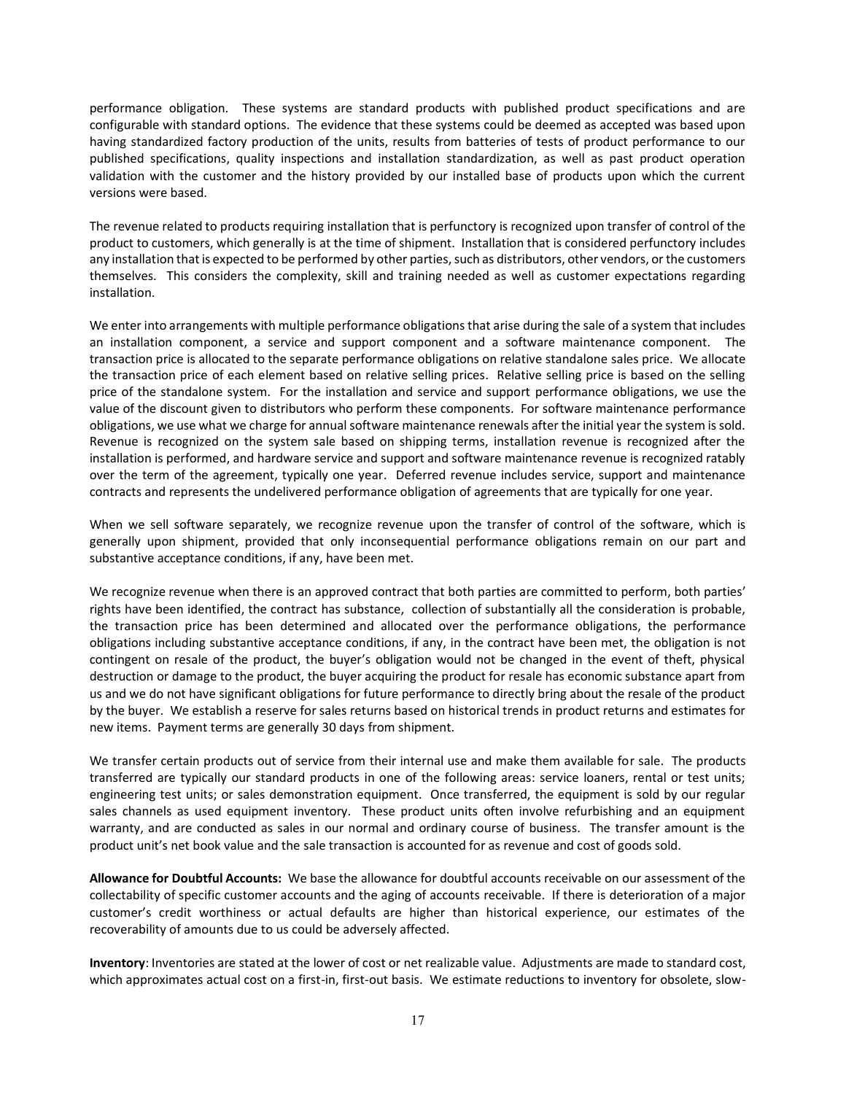performance obligation. These systems are standard products with published product specifications and are configurable with standard options. The evidence that these systems could be deemed as accepted was based upon having standardized factory production of the units, results from batteries of tests of product performance to our published specifications, quality inspections and installation standardization, as well as past product operation validation with the customer and the history provided by our installed base of products upon which the current versions were based.

The revenue related to products requiring installation that is perfunctory is recognized upon transfer of control of the product to customers, which generally is at the time of shipment. Installation that is considered perfunctory includes any installation that is expected to be performed by other parties, such as distributors, other vendors, or the customers themselves. This considers the complexity, skill and training needed as well as customer expectations regarding installation.

We enter into arrangements with multiple performance obligations that arise during the sale of a system that includes an installation component, a service and support component and a software maintenance component. The transaction price is allocated to the separate performance obligations on relative standalone sales price. We allocate the transaction price of each element based on relative selling prices. Relative selling price is based on the selling price of the standalone system. For the installation and service and support performance obligations, we use the value of the discount given to distributors who perform these components. For software maintenance performance obligations, we use what we charge for annual software maintenance renewals after the initial year the system is sold. Revenue is recognized on the system sale based on shipping terms, installation revenue is recognized after the installation is performed, and hardware service and support and software maintenance revenue is recognized ratably over the term of the agreement, typically one year. Deferred revenue includes service, support and maintenance contracts and represents the undelivered performance obligation of agreements that are typically for one year.

When we sell software separately, we recognize revenue upon the transfer of control of the software, which is generally upon shipment, provided that only inconsequential performance obligations remain on our part and substantive acceptance conditions, if any, have been met.

We recognize revenue when there is an approved contract that both parties are committed to perform, both parties' rights have been identified, the contract has substance, collection of substantially all the consideration is probable, the transaction price has been determined and allocated over the performance obligations, the performance obligations including substantive acceptance conditions, if any, in the contract have been met, the obligation is not contingent on resale of the product, the buyer's obligation would not be changed in the event of theft, physical destruction or damage to the product, the buyer acquiring the product for resale has economic substance apart from us and we do not have significant obligations for future performance to directly bring about the resale of the product by the buyer. We establish a reserve for sales returns based on historical trends in product returns and estimates for new items. Payment terms are generally 30 days from shipment.

We transfer certain products out of service from their internal use and make them available for sale. The products transferred are typically our standard products in one of the following areas: service loaners, rental or test units; engineering test units; or sales demonstration equipment. Once transferred, the equipment is sold by our regular sales channels as used equipment inventory. These product units often involve refurbishing and an equipment warranty, and are conducted as sales in our normal and ordinary course of business. The transfer amount is the product unit's net book value and the sale transaction is accounted for as revenue and cost of goods sold.

**Allowance for Doubtful Accounts:** We base the allowance for doubtful accounts receivable on our assessment of the collectability of specific customer accounts and the aging of accounts receivable. If there is deterioration of a major customer's credit worthiness or actual defaults are higher than historical experience, our estimates of the recoverability of amounts due to us could be adversely affected.

**Inventory**: Inventories are stated at the lower of cost or net realizable value. Adjustments are made to standard cost, which approximates actual cost on a first-in, first-out basis. We estimate reductions to inventory for obsolete, slow-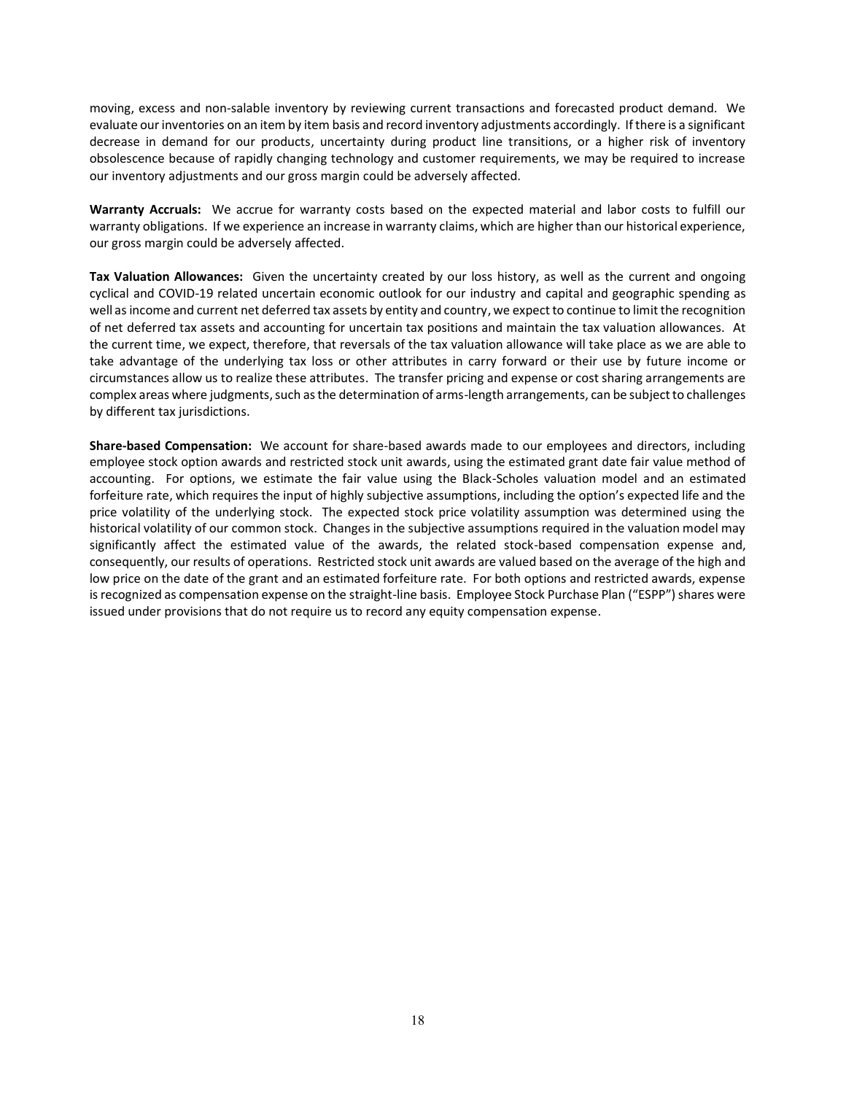moving, excess and non-salable inventory by reviewing current transactions and forecasted product demand. We evaluate our inventories on an item by item basis and record inventory adjustments accordingly. If there is a significant decrease in demand for our products, uncertainty during product line transitions, or a higher risk of inventory obsolescence because of rapidly changing technology and customer requirements, we may be required to increase our inventory adjustments and our gross margin could be adversely affected.

**Warranty Accruals:** We accrue for warranty costs based on the expected material and labor costs to fulfill our warranty obligations. If we experience an increase in warranty claims, which are higher than our historical experience, our gross margin could be adversely affected.

**Tax Valuation Allowances:** Given the uncertainty created by our loss history, as well as the current and ongoing cyclical and COVID-19 related uncertain economic outlook for our industry and capital and geographic spending as well as income and current net deferred tax assets by entity and country, we expect to continue to limit the recognition of net deferred tax assets and accounting for uncertain tax positions and maintain the tax valuation allowances. At the current time, we expect, therefore, that reversals of the tax valuation allowance will take place as we are able to take advantage of the underlying tax loss or other attributes in carry forward or their use by future income or circumstances allow us to realize these attributes. The transfer pricing and expense or cost sharing arrangements are complex areas where judgments, such as the determination of arms-length arrangements, can be subject to challenges by different tax jurisdictions.

**Share-based Compensation:** We account for share-based awards made to our employees and directors, including employee stock option awards and restricted stock unit awards, using the estimated grant date fair value method of accounting. For options, we estimate the fair value using the Black-Scholes valuation model and an estimated forfeiture rate, which requires the input of highly subjective assumptions, including the option's expected life and the price volatility of the underlying stock. The expected stock price volatility assumption was determined using the historical volatility of our common stock. Changes in the subjective assumptions required in the valuation model may significantly affect the estimated value of the awards, the related stock-based compensation expense and, consequently, our results of operations. Restricted stock unit awards are valued based on the average of the high and low price on the date of the grant and an estimated forfeiture rate. For both options and restricted awards, expense is recognized as compensation expense on the straight-line basis. Employee Stock Purchase Plan ("ESPP") shares were issued under provisions that do not require us to record any equity compensation expense.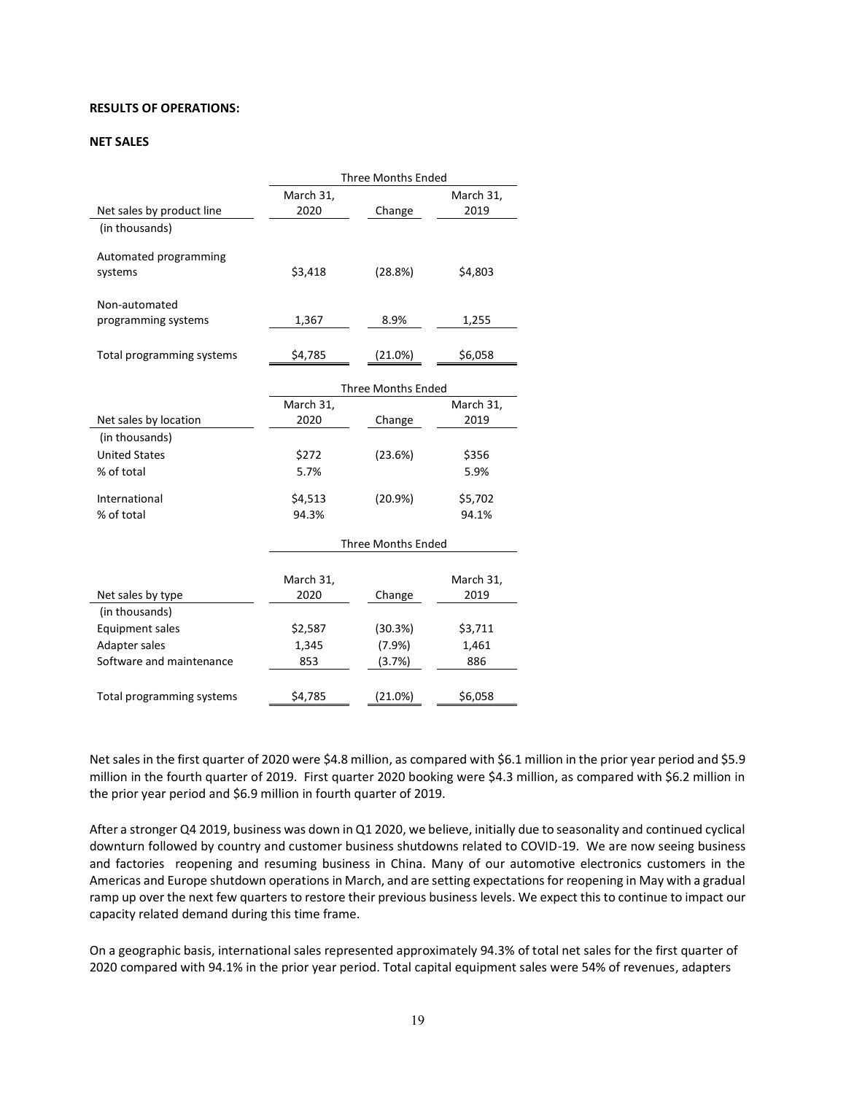#### **RESULTS OF OPERATIONS:**

#### **NET SALES**

|                           | <b>Three Months Ended</b> |                           |           |
|---------------------------|---------------------------|---------------------------|-----------|
|                           | March 31,                 |                           | March 31, |
| Net sales by product line | 2020                      | Change                    | 2019      |
| (in thousands)            |                           |                           |           |
| Automated programming     |                           |                           |           |
| systems                   | \$3,418                   | (28.8%)                   | \$4,803   |
| Non-automated             |                           |                           |           |
| programming systems       | 1,367                     | 8.9%                      | 1,255     |
| Total programming systems | \$4,785                   | (21.0%)                   | \$6,058   |
|                           |                           | <b>Three Months Ended</b> |           |
|                           | March 31,                 |                           | March 31, |
| Net sales by location     | 2020                      | Change                    | 2019      |
| (in thousands)            |                           |                           |           |
| <b>United States</b>      | \$272                     | (23.6%)                   | \$356     |
| % of total                | 5.7%                      |                           | 5.9%      |
| International             | \$4,513                   | (20.9%)                   | \$5,702   |
| % of total                | 94.3%                     |                           | 94.1%     |
|                           |                           | <b>Three Months Ended</b> |           |
|                           | March 31,                 |                           | March 31, |
| Net sales by type         | 2020                      | Change                    | 2019      |
| (in thousands)            |                           |                           |           |
| <b>Equipment sales</b>    | \$2,587                   | (30.3%)                   | \$3,711   |
| Adapter sales             | 1,345                     | (7.9%)                    | 1,461     |
| Software and maintenance  | 853                       | (3.7%)                    | 886       |
| Total programming systems | \$4,785                   | (21.0%)                   | \$6,058   |

Net sales in the first quarter of 2020 were \$4.8 million, as compared with \$6.1 million in the prior year period and \$5.9 million in the fourth quarter of 2019. First quarter 2020 booking were \$4.3 million, as compared with \$6.2 million in the prior year period and \$6.9 million in fourth quarter of 2019.

After a stronger Q4 2019, business was down in Q1 2020, we believe, initially due to seasonality and continued cyclical downturn followed by country and customer business shutdowns related to COVID-19. We are now seeing business and factories reopening and resuming business in China. Many of our automotive electronics customers in the Americas and Europe shutdown operations in March, and are setting expectations for reopening in May with a gradual ramp up over the next few quarters to restore their previous business levels. We expect this to continue to impact our capacity related demand during this time frame.

On a geographic basis, international sales represented approximately 94.3% of total net sales for the first quarter of 2020 compared with 94.1% in the prior year period. Total capital equipment sales were 54% of revenues, adapters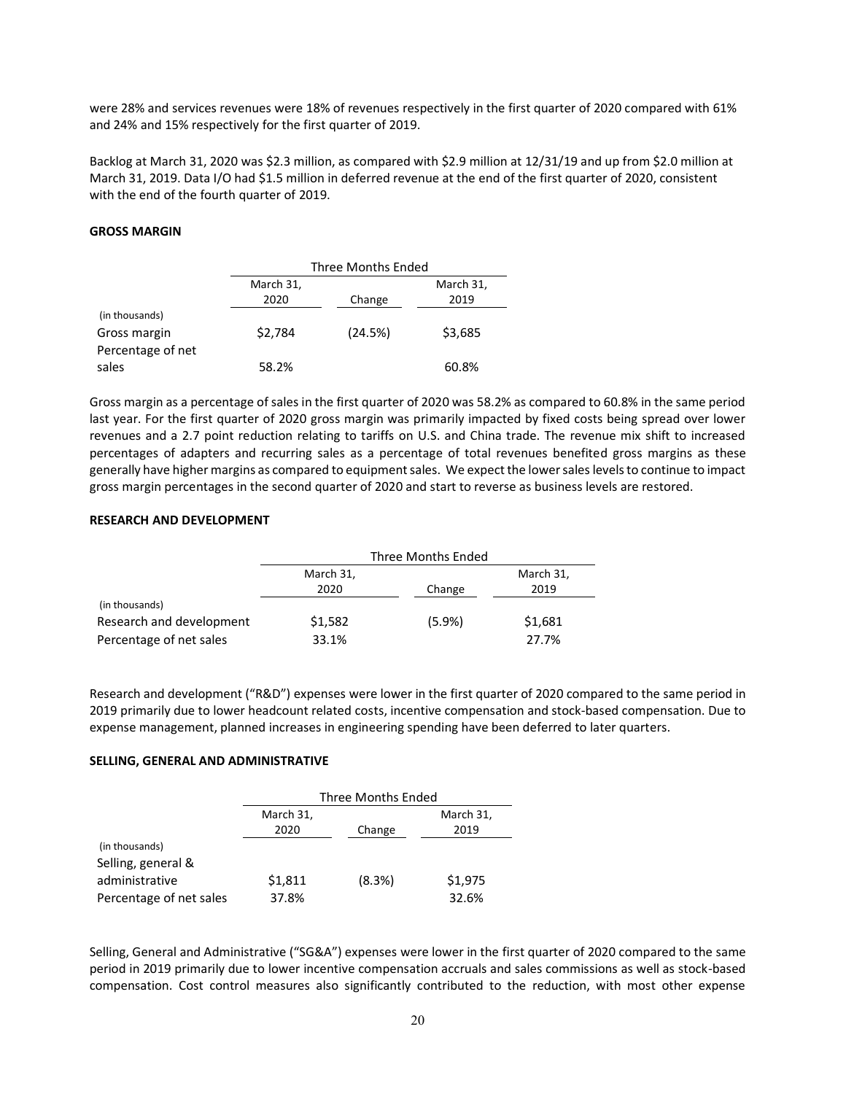were 28% and services revenues were 18% of revenues respectively in the first quarter of 2020 compared with 61% and 24% and 15% respectively for the first quarter of 2019.

Backlog at March 31, 2020 was \$2.3 million, as compared with \$2.9 million at 12/31/19 and up from \$2.0 million at March 31, 2019. Data I/O had \$1.5 million in deferred revenue at the end of the first quarter of 2020, consistent with the end of the fourth quarter of 2019.

#### **GROSS MARGIN**

|                                                     | Three Months Ended |         |                   |
|-----------------------------------------------------|--------------------|---------|-------------------|
|                                                     | March 31,<br>2020  | Change  | March 31,<br>2019 |
| (in thousands)<br>Gross margin<br>Percentage of net | \$2,784            | (24.5%) | \$3,685           |
| sales                                               | 58.2%              |         | 60.8%             |

Gross margin as a percentage of sales in the first quarter of 2020 was 58.2% as compared to 60.8% in the same period last year. For the first quarter of 2020 gross margin was primarily impacted by fixed costs being spread over lower revenues and a 2.7 point reduction relating to tariffs on U.S. and China trade. The revenue mix shift to increased percentages of adapters and recurring sales as a percentage of total revenues benefited gross margins as these generally have higher margins as compared to equipment sales. We expect the lower sales levels to continue to impact gross margin percentages in the second quarter of 2020 and start to reverse as business levels are restored.

#### **RESEARCH AND DEVELOPMENT**

|                          | Three Months Ended |        |           |
|--------------------------|--------------------|--------|-----------|
|                          | March 31,          |        | March 31, |
|                          | 2020               | Change | 2019      |
| (in thousands)           |                    |        |           |
| Research and development | \$1,582            | (5.9%) | \$1,681   |
| Percentage of net sales  | 33.1%              |        | 27.7%     |

Research and development ("R&D") expenses were lower in the first quarter of 2020 compared to the same period in 2019 primarily due to lower headcount related costs, incentive compensation and stock-based compensation. Due to expense management, planned increases in engineering spending have been deferred to later quarters.

#### **SELLING, GENERAL AND ADMINISTRATIVE**

|                         | Three Months Ended |        |                   |
|-------------------------|--------------------|--------|-------------------|
|                         | March 31,<br>2020  | Change | March 31,<br>2019 |
| (in thousands)          |                    |        |                   |
| Selling, general &      |                    |        |                   |
| administrative          | \$1,811            | (8.3%) | \$1,975           |
| Percentage of net sales | 37.8%              |        | 32.6%             |

Selling, General and Administrative ("SG&A") expenses were lower in the first quarter of 2020 compared to the same period in 2019 primarily due to lower incentive compensation accruals and sales commissions as well as stock-based compensation. Cost control measures also significantly contributed to the reduction, with most other expense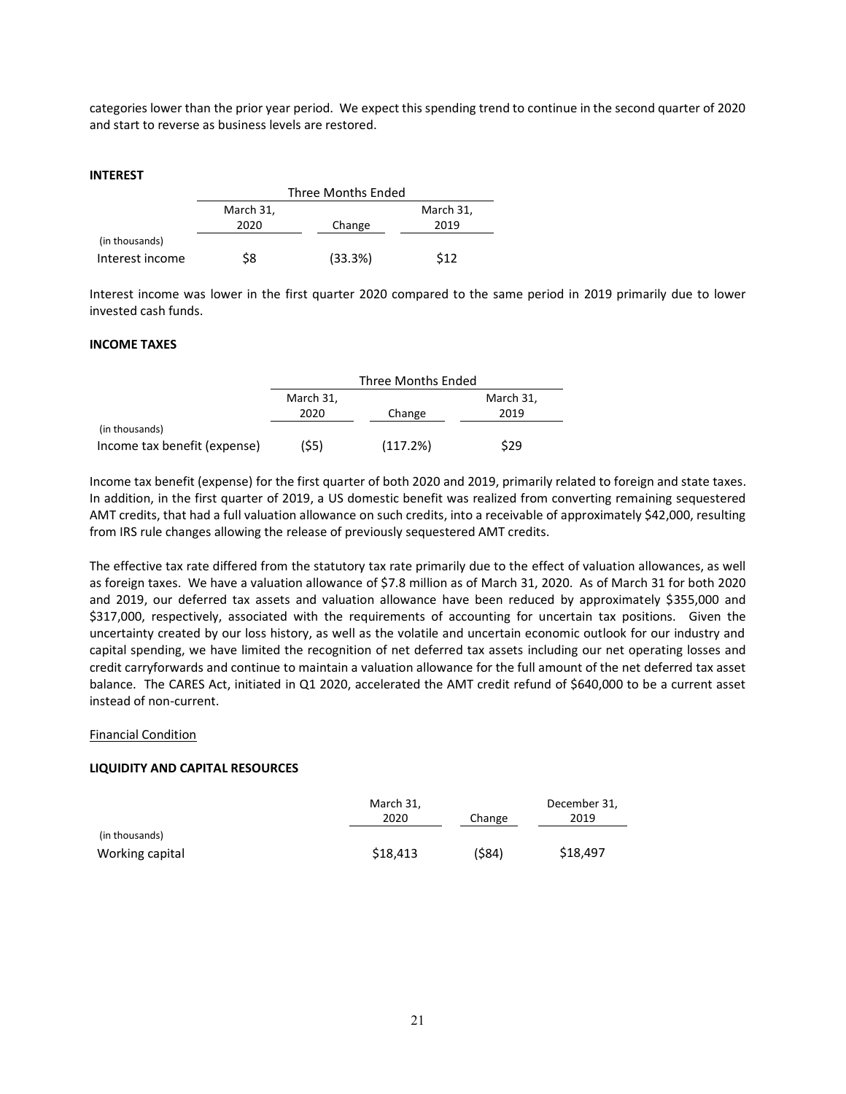categories lower than the prior year period. We expect this spending trend to continue in the second quarter of 2020 and start to reverse as business levels are restored.

#### **INTEREST**

|                 | Three Months Ended |         |           |  |
|-----------------|--------------------|---------|-----------|--|
|                 | March 31,          |         | March 31, |  |
|                 | 2020               | Change  | 2019      |  |
| (in thousands)  |                    |         |           |  |
| Interest income | \$8                | (33.3%) | \$12      |  |

Interest income was lower in the first quarter 2020 compared to the same period in 2019 primarily due to lower invested cash funds.

#### **INCOME TAXES**

|                              | Three Months Ended |          |           |  |
|------------------------------|--------------------|----------|-----------|--|
|                              | March 31,          |          | March 31, |  |
|                              | 2020               | Change   | 2019      |  |
| (in thousands)               |                    |          |           |  |
| Income tax benefit (expense) | (\$5)              | (117.2%) | \$29      |  |

Income tax benefit (expense) for the first quarter of both 2020 and 2019, primarily related to foreign and state taxes. In addition, in the first quarter of 2019, a US domestic benefit was realized from converting remaining sequestered AMT credits, that had a full valuation allowance on such credits, into a receivable of approximately \$42,000, resulting from IRS rule changes allowing the release of previously sequestered AMT credits.

The effective tax rate differed from the statutory tax rate primarily due to the effect of valuation allowances, as well as foreign taxes. We have a valuation allowance of \$7.8 million as of March 31, 2020. As of March 31 for both 2020 and 2019, our deferred tax assets and valuation allowance have been reduced by approximately \$355,000 and \$317,000, respectively, associated with the requirements of accounting for uncertain tax positions. Given the uncertainty created by our loss history, as well as the volatile and uncertain economic outlook for our industry and capital spending, we have limited the recognition of net deferred tax assets including our net operating losses and credit carryforwards and continue to maintain a valuation allowance for the full amount of the net deferred tax asset balance. The CARES Act, initiated in Q1 2020, accelerated the AMT credit refund of \$640,000 to be a current asset instead of non-current.

#### Financial Condition

#### **LIQUIDITY AND CAPITAL RESOURCES**

|                 | March 31, |        | December 31, |
|-----------------|-----------|--------|--------------|
|                 | 2020      | Change | 2019         |
| (in thousands)  |           |        |              |
| Working capital | \$18,413  | (\$84) | \$18,497     |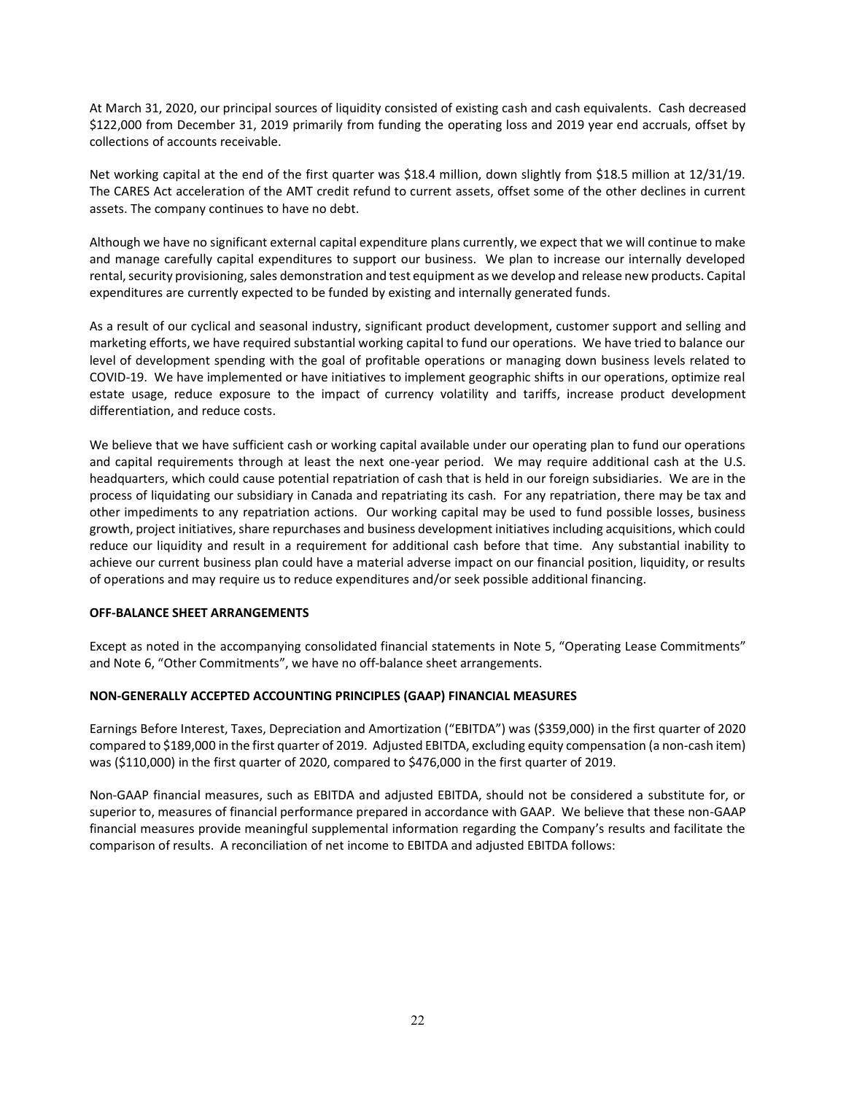At March 31, 2020, our principal sources of liquidity consisted of existing cash and cash equivalents. Cash decreased \$122,000 from December 31, 2019 primarily from funding the operating loss and 2019 year end accruals, offset by collections of accounts receivable.

Net working capital at the end of the first quarter was \$18.4 million, down slightly from \$18.5 million at 12/31/19. The CARES Act acceleration of the AMT credit refund to current assets, offset some of the other declines in current assets. The company continues to have no debt.

Although we have no significant external capital expenditure plans currently, we expect that we will continue to make and manage carefully capital expenditures to support our business. We plan to increase our internally developed rental, security provisioning, sales demonstration and test equipment as we develop and release new products. Capital expenditures are currently expected to be funded by existing and internally generated funds.

As a result of our cyclical and seasonal industry, significant product development, customer support and selling and marketing efforts, we have required substantial working capital to fund our operations. We have tried to balance our level of development spending with the goal of profitable operations or managing down business levels related to COVID-19. We have implemented or have initiatives to implement geographic shifts in our operations, optimize real estate usage, reduce exposure to the impact of currency volatility and tariffs, increase product development differentiation, and reduce costs.

We believe that we have sufficient cash or working capital available under our operating plan to fund our operations and capital requirements through at least the next one-year period. We may require additional cash at the U.S. headquarters, which could cause potential repatriation of cash that is held in our foreign subsidiaries. We are in the process of liquidating our subsidiary in Canada and repatriating its cash. For any repatriation, there may be tax and other impediments to any repatriation actions. Our working capital may be used to fund possible losses, business growth, project initiatives, share repurchases and business development initiatives including acquisitions, which could reduce our liquidity and result in a requirement for additional cash before that time. Any substantial inability to achieve our current business plan could have a material adverse impact on our financial position, liquidity, or results of operations and may require us to reduce expenditures and/or seek possible additional financing.

#### **OFF-BALANCE SHEET ARRANGEMENTS**

Except as noted in the accompanying consolidated financial statements in Note 5, "Operating Lease Commitments" and Note 6, "Other Commitments", we have no off-balance sheet arrangements.

#### **NON-GENERALLY ACCEPTED ACCOUNTING PRINCIPLES (GAAP) FINANCIAL MEASURES**

Earnings Before Interest, Taxes, Depreciation and Amortization ("EBITDA") was (\$359,000) in the first quarter of 2020 compared to \$189,000 in the first quarter of 2019. Adjusted EBITDA, excluding equity compensation (a non-cash item) was (\$110,000) in the first quarter of 2020, compared to \$476,000 in the first quarter of 2019.

Non-GAAP financial measures, such as EBITDA and adjusted EBITDA, should not be considered a substitute for, or superior to, measures of financial performance prepared in accordance with GAAP. We believe that these non-GAAP financial measures provide meaningful supplemental information regarding the Company's results and facilitate the comparison of results. A reconciliation of net income to EBITDA and adjusted EBITDA follows: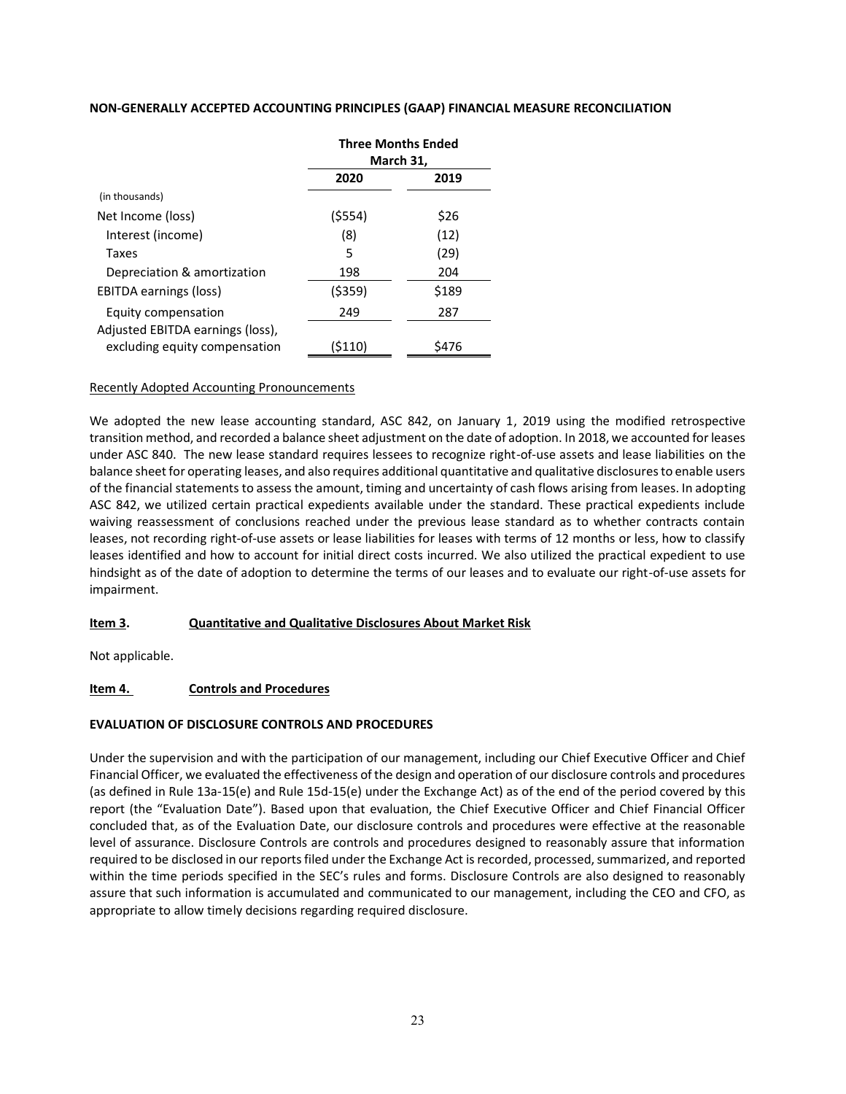#### **NON-GENERALLY ACCEPTED ACCOUNTING PRINCIPLES (GAAP) FINANCIAL MEASURE RECONCILIATION**

|                                  | <b>Three Months Ended</b><br>March 31, |       |
|----------------------------------|----------------------------------------|-------|
|                                  | 2020                                   | 2019  |
| (in thousands)                   |                                        |       |
| Net Income (loss)                | $($ \$554)                             | \$26  |
| Interest (income)                | (8)                                    | (12)  |
| Taxes                            | 5                                      | (29)  |
| Depreciation & amortization      | 198                                    | 204   |
| EBITDA earnings (loss)           | (\$359)                                | \$189 |
| Equity compensation              | 249                                    | 287   |
| Adjusted EBITDA earnings (loss), |                                        |       |
| excluding equity compensation    | (\$110)                                | \$476 |

#### Recently Adopted Accounting Pronouncements

We adopted the new lease accounting standard, ASC 842, on January 1, 2019 using the modified retrospective transition method, and recorded a balance sheet adjustment on the date of adoption. In 2018, we accounted for leases under ASC 840. The new lease standard requires lessees to recognize right-of-use assets and lease liabilities on the balance sheet for operating leases, and also requires additional quantitative and qualitative disclosures to enable users of the financial statements to assess the amount, timing and uncertainty of cash flows arising from leases. In adopting ASC 842, we utilized certain practical expedients available under the standard. These practical expedients include waiving reassessment of conclusions reached under the previous lease standard as to whether contracts contain leases, not recording right-of-use assets or lease liabilities for leases with terms of 12 months or less, how to classify leases identified and how to account for initial direct costs incurred. We also utilized the practical expedient to use hindsight as of the date of adoption to determine the terms of our leases and to evaluate our right-of-use assets for impairment.

#### **Item 3. Quantitative and Qualitative Disclosures About Market Risk**

Not applicable.

#### **Item 4. Controls and Procedures**

#### **EVALUATION OF DISCLOSURE CONTROLS AND PROCEDURES**

Under the supervision and with the participation of our management, including our Chief Executive Officer and Chief Financial Officer, we evaluated the effectiveness of the design and operation of our disclosure controls and procedures (as defined in Rule 13a-15(e) and Rule 15d-15(e) under the Exchange Act) as of the end of the period covered by this report (the "Evaluation Date"). Based upon that evaluation, the Chief Executive Officer and Chief Financial Officer concluded that, as of the Evaluation Date, our disclosure controls and procedures were effective at the reasonable level of assurance. Disclosure Controls are controls and procedures designed to reasonably assure that information required to be disclosed in our reports filed under the Exchange Act is recorded, processed, summarized, and reported within the time periods specified in the SEC's rules and forms. Disclosure Controls are also designed to reasonably assure that such information is accumulated and communicated to our management, including the CEO and CFO, as appropriate to allow timely decisions regarding required disclosure.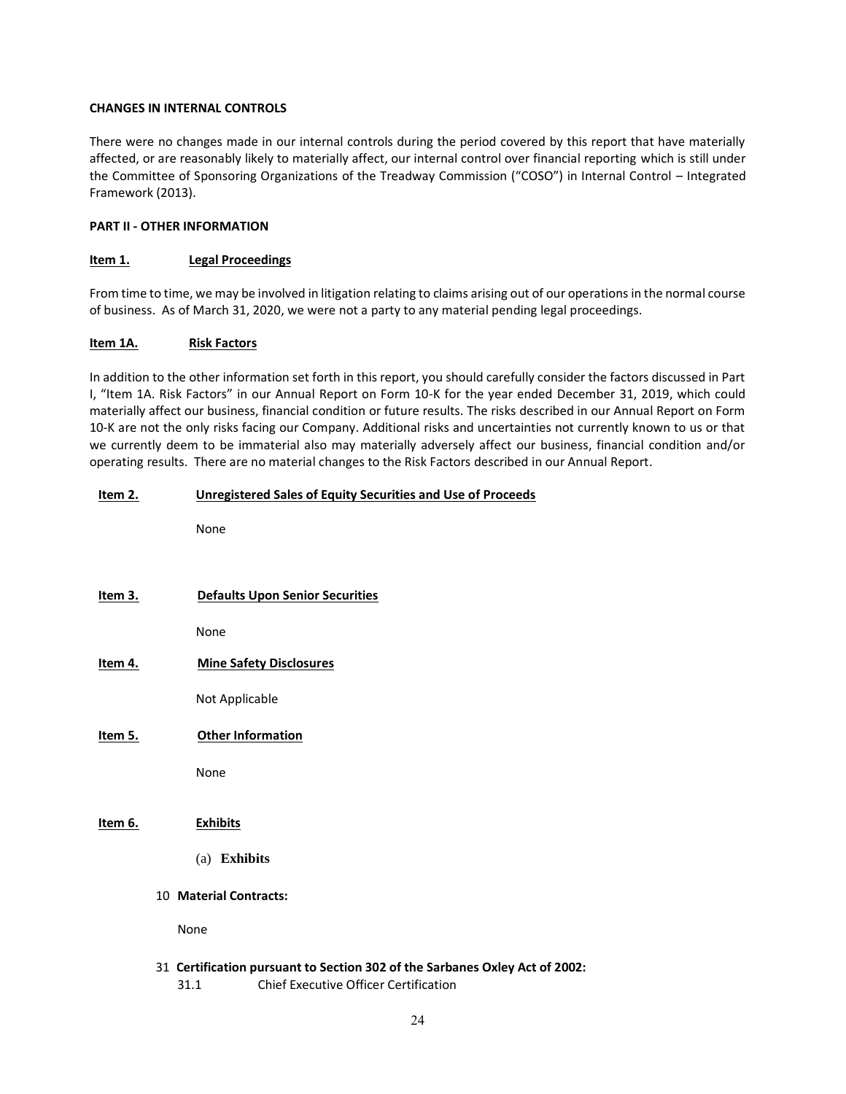#### **CHANGES IN INTERNAL CONTROLS**

There were no changes made in our internal controls during the period covered by this report that have materially affected, or are reasonably likely to materially affect, our internal control over financial reporting which is still under the Committee of Sponsoring Organizations of the Treadway Commission ("COSO") in Internal Control – Integrated Framework (2013).

#### **PART II - OTHER INFORMATION**

#### **Item 1. Legal Proceedings**

From time to time, we may be involved in litigation relating to claims arising out of our operations in the normal course of business. As of March 31, 2020, we were not a party to any material pending legal proceedings.

#### **Item 1A. Risk Factors**

In addition to the other information set forth in this report, you should carefully consider the factors discussed in Part I, "Item 1A. Risk Factors" in our Annual Report on Form 10-K for the year ended December 31, 2019, which could materially affect our business, financial condition or future results. The risks described in our Annual Report on Form 10-K are not the only risks facing our Company. Additional risks and uncertainties not currently known to us or that we currently deem to be immaterial also may materially adversely affect our business, financial condition and/or operating results. There are no material changes to the Risk Factors described in our Annual Report.

#### **Item 2. Unregistered Sales of Equity Securities and Use of Proceeds**

None

**Item 3. Defaults Upon Senior Securities**

None

**Item 4. Mine Safety Disclosures**

Not Applicable

**Item 5. Other Information**

None

#### **Item 6. Exhibits**

- (a) **Exhibits**
- 10 **Material Contracts:**

None

31 **Certification pursuant to Section 302 of the Sarbanes Oxley Act of 2002:**

31.1 Chief Executive Officer Certification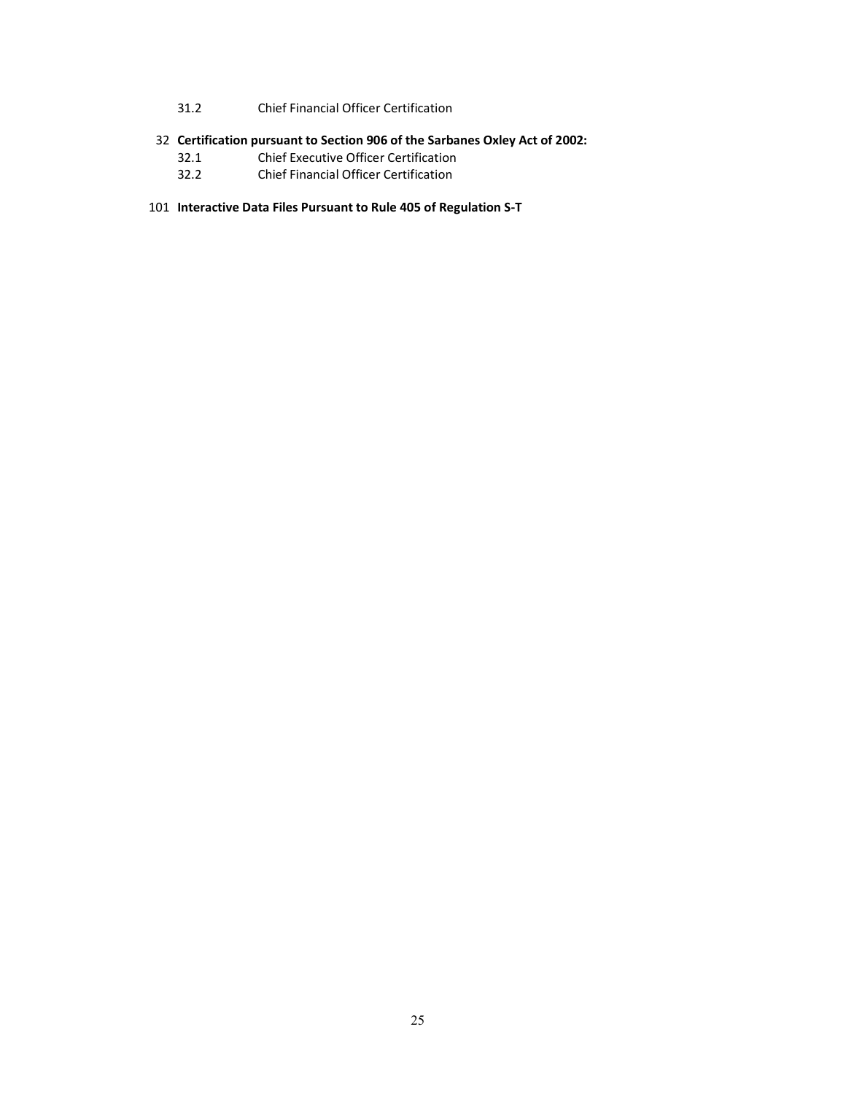31.2 Chief Financial Officer Certification

## 32 **Certification pursuant to Section 906 of the Sarbanes Oxley Act of 2002:**

- 32.1 Chief Executive Officer Certification
- 32.2 Chief Financial Officer Certification
- 101 **Interactive Data Files Pursuant to Rule 405 of Regulation S-T**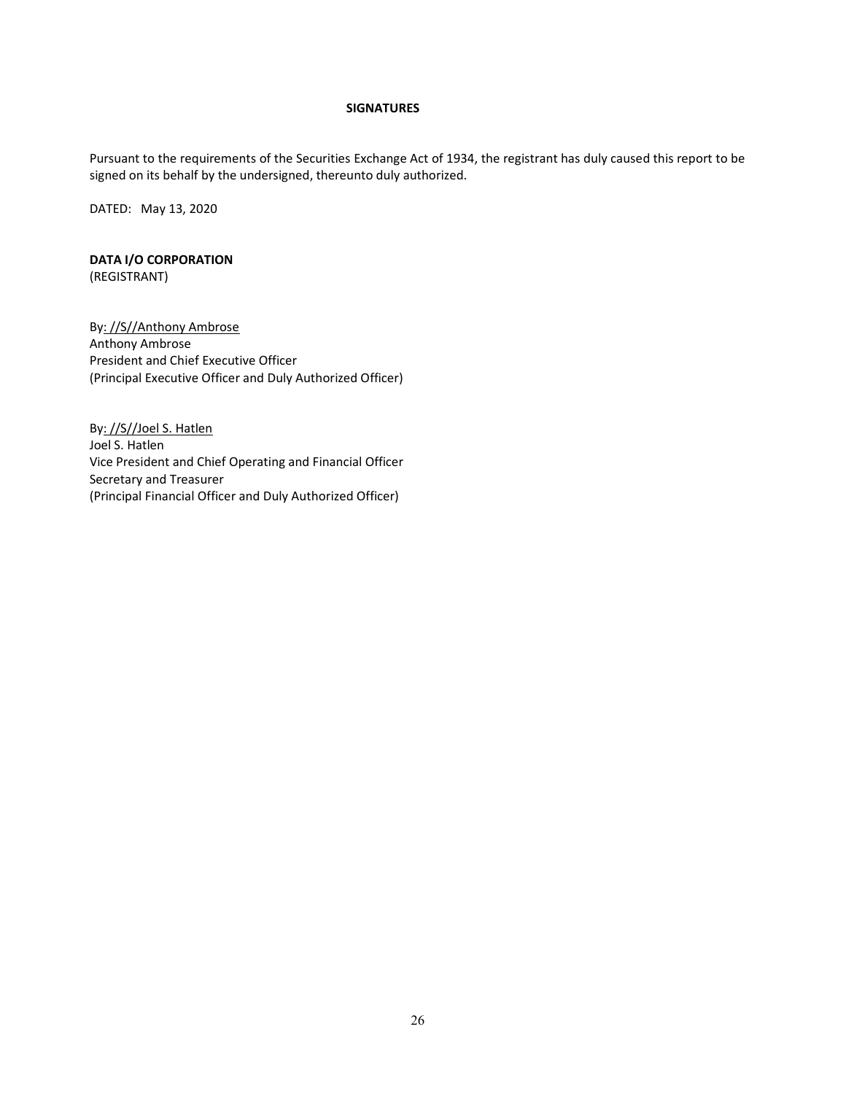### **SIGNATURES**

Pursuant to the requirements of the Securities Exchange Act of 1934, the registrant has duly caused this report to be signed on its behalf by the undersigned, thereunto duly authorized.

DATED: May 13, 2020

## **DATA I/O CORPORATION** (REGISTRANT)

By: //S//Anthony Ambrose Anthony Ambrose President and Chief Executive Officer (Principal Executive Officer and Duly Authorized Officer)

By: //S//Joel S. Hatlen Joel S. Hatlen Vice President and Chief Operating and Financial Officer Secretary and Treasurer (Principal Financial Officer and Duly Authorized Officer)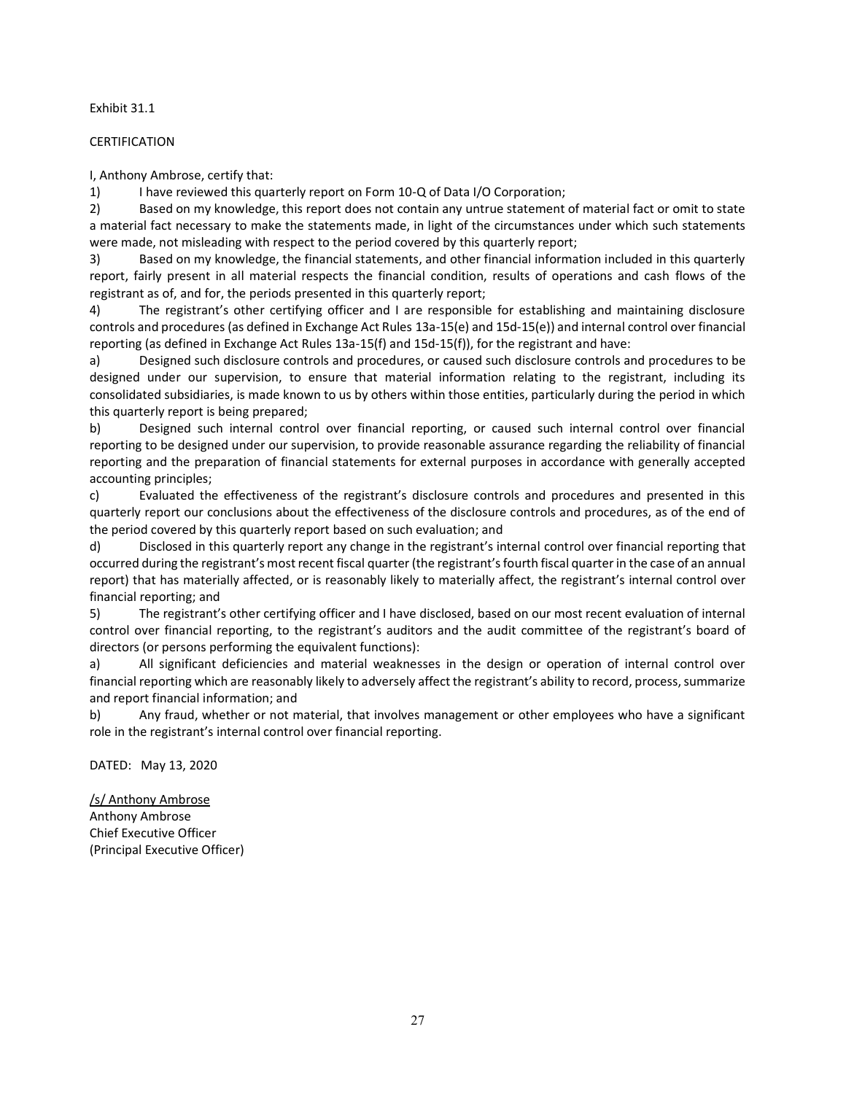#### Exhibit 31.1

#### CERTIFICATION

I, Anthony Ambrose, certify that:

1) I have reviewed this quarterly report on Form 10-Q of Data I/O Corporation;

2) Based on my knowledge, this report does not contain any untrue statement of material fact or omit to state a material fact necessary to make the statements made, in light of the circumstances under which such statements were made, not misleading with respect to the period covered by this quarterly report;

3) Based on my knowledge, the financial statements, and other financial information included in this quarterly report, fairly present in all material respects the financial condition, results of operations and cash flows of the registrant as of, and for, the periods presented in this quarterly report;

4) The registrant's other certifying officer and I are responsible for establishing and maintaining disclosure controls and procedures (as defined in Exchange Act Rules 13a-15(e) and 15d-15(e)) and internal control over financial reporting (as defined in Exchange Act Rules 13a-15(f) and 15d-15(f)), for the registrant and have:

a) Designed such disclosure controls and procedures, or caused such disclosure controls and procedures to be designed under our supervision, to ensure that material information relating to the registrant, including its consolidated subsidiaries, is made known to us by others within those entities, particularly during the period in which this quarterly report is being prepared;

b) Designed such internal control over financial reporting, or caused such internal control over financial reporting to be designed under our supervision, to provide reasonable assurance regarding the reliability of financial reporting and the preparation of financial statements for external purposes in accordance with generally accepted accounting principles;

c) Evaluated the effectiveness of the registrant's disclosure controls and procedures and presented in this quarterly report our conclusions about the effectiveness of the disclosure controls and procedures, as of the end of the period covered by this quarterly report based on such evaluation; and

d) Disclosed in this quarterly report any change in the registrant's internal control over financial reporting that occurred during the registrant's most recent fiscal quarter (the registrant's fourth fiscal quarter in the case of an annual report) that has materially affected, or is reasonably likely to materially affect, the registrant's internal control over financial reporting; and

5) The registrant's other certifying officer and I have disclosed, based on our most recent evaluation of internal control over financial reporting, to the registrant's auditors and the audit committee of the registrant's board of directors (or persons performing the equivalent functions):

a) All significant deficiencies and material weaknesses in the design or operation of internal control over financial reporting which are reasonably likely to adversely affect the registrant's ability to record, process, summarize and report financial information; and

b) Any fraud, whether or not material, that involves management or other employees who have a significant role in the registrant's internal control over financial reporting.

DATED: May 13, 2020

/s/ Anthony Ambrose Anthony Ambrose Chief Executive Officer (Principal Executive Officer)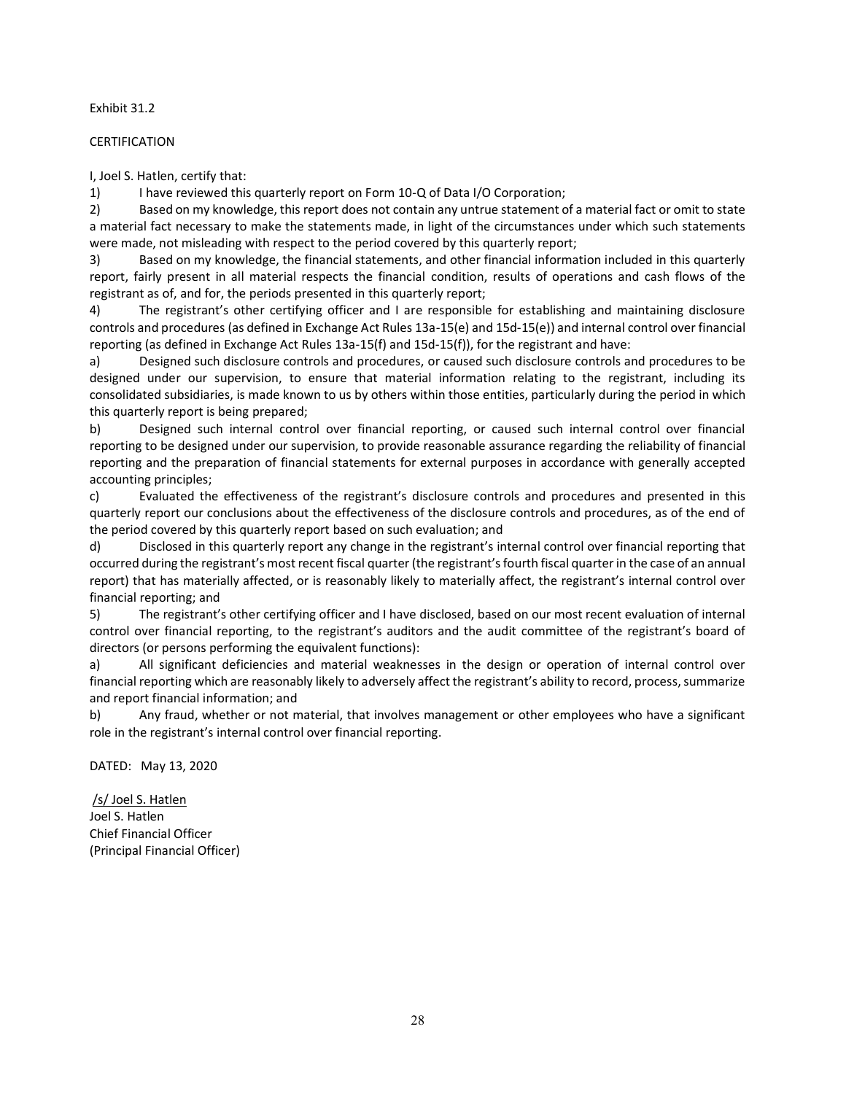#### Exhibit 31.2

#### CERTIFICATION

I, Joel S. Hatlen, certify that:

1) I have reviewed this quarterly report on Form 10-Q of Data I/O Corporation;

2) Based on my knowledge, this report does not contain any untrue statement of a material fact or omit to state a material fact necessary to make the statements made, in light of the circumstances under which such statements were made, not misleading with respect to the period covered by this quarterly report;

3) Based on my knowledge, the financial statements, and other financial information included in this quarterly report, fairly present in all material respects the financial condition, results of operations and cash flows of the registrant as of, and for, the periods presented in this quarterly report;

4) The registrant's other certifying officer and I are responsible for establishing and maintaining disclosure controls and procedures (as defined in Exchange Act Rules 13a-15(e) and 15d-15(e)) and internal control over financial reporting (as defined in Exchange Act Rules 13a-15(f) and 15d-15(f)), for the registrant and have:

a) Designed such disclosure controls and procedures, or caused such disclosure controls and procedures to be designed under our supervision, to ensure that material information relating to the registrant, including its consolidated subsidiaries, is made known to us by others within those entities, particularly during the period in which this quarterly report is being prepared;

b) Designed such internal control over financial reporting, or caused such internal control over financial reporting to be designed under our supervision, to provide reasonable assurance regarding the reliability of financial reporting and the preparation of financial statements for external purposes in accordance with generally accepted accounting principles;

c) Evaluated the effectiveness of the registrant's disclosure controls and procedures and presented in this quarterly report our conclusions about the effectiveness of the disclosure controls and procedures, as of the end of the period covered by this quarterly report based on such evaluation; and

d) Disclosed in this quarterly report any change in the registrant's internal control over financial reporting that occurred during the registrant's most recent fiscal quarter (the registrant's fourth fiscal quarter in the case of an annual report) that has materially affected, or is reasonably likely to materially affect, the registrant's internal control over financial reporting; and

5) The registrant's other certifying officer and I have disclosed, based on our most recent evaluation of internal control over financial reporting, to the registrant's auditors and the audit committee of the registrant's board of directors (or persons performing the equivalent functions):

a) All significant deficiencies and material weaknesses in the design or operation of internal control over financial reporting which are reasonably likely to adversely affect the registrant's ability to record, process, summarize and report financial information; and

b) Any fraud, whether or not material, that involves management or other employees who have a significant role in the registrant's internal control over financial reporting.

DATED: May 13, 2020

/s/ Joel S. Hatlen Joel S. Hatlen Chief Financial Officer (Principal Financial Officer)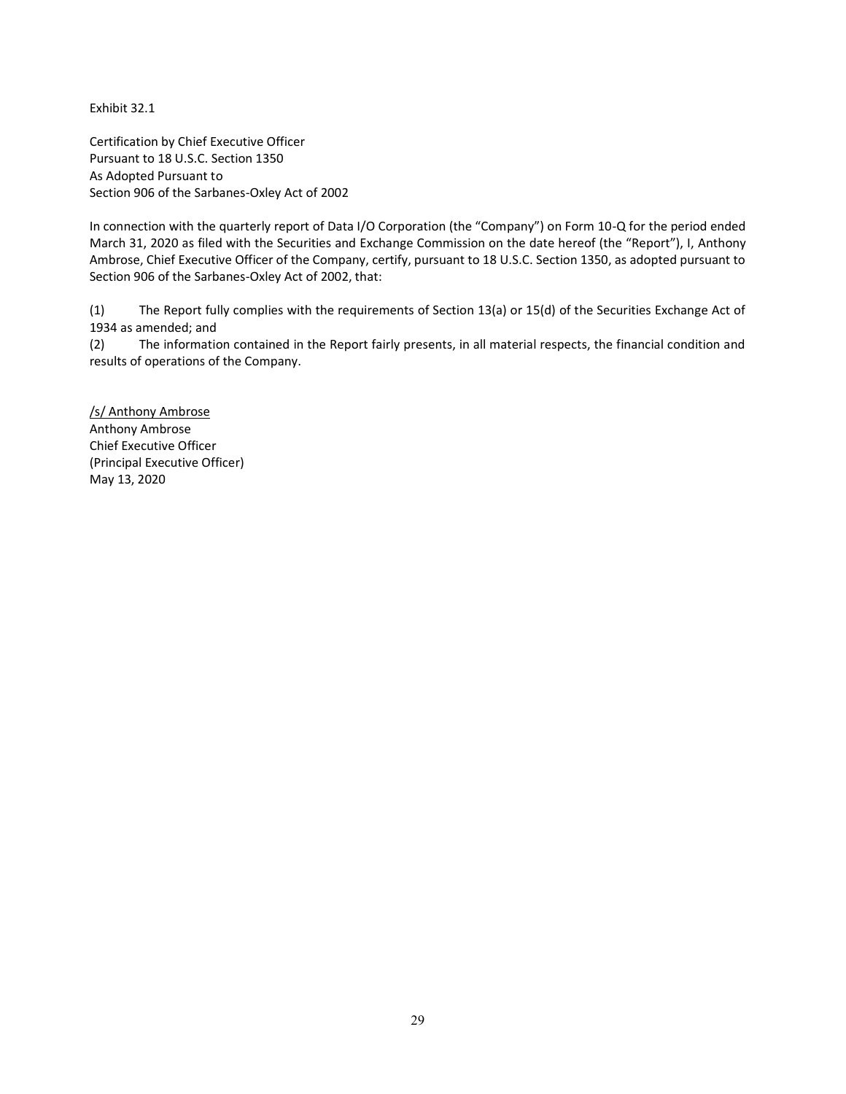Exhibit 32.1

Certification by Chief Executive Officer Pursuant to 18 U.S.C. Section 1350 As Adopted Pursuant to Section 906 of the Sarbanes-Oxley Act of 2002

In connection with the quarterly report of Data I/O Corporation (the "Company") on Form 10-Q for the period ended March 31, 2020 as filed with the Securities and Exchange Commission on the date hereof (the "Report"), I, Anthony Ambrose, Chief Executive Officer of the Company, certify, pursuant to 18 U.S.C. Section 1350, as adopted pursuant to Section 906 of the Sarbanes-Oxley Act of 2002, that:

(1) The Report fully complies with the requirements of Section 13(a) or 15(d) of the Securities Exchange Act of 1934 as amended; and

(2) The information contained in the Report fairly presents, in all material respects, the financial condition and results of operations of the Company.

/s/ Anthony Ambrose Anthony Ambrose Chief Executive Officer (Principal Executive Officer) May 13, 2020